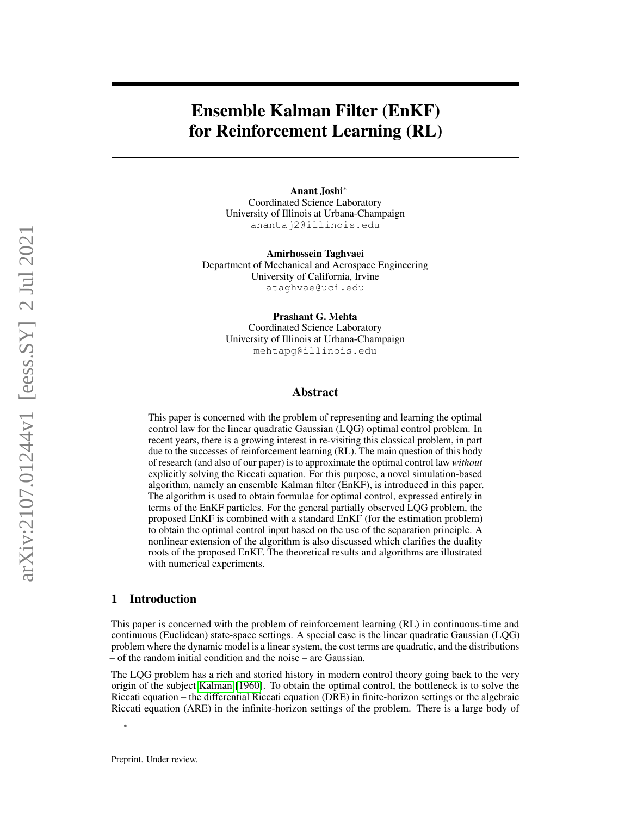# Ensemble Kalman Filter (EnKF) for Reinforcement Learning (RL)

Anant Joshi<sup>∗</sup> Coordinated Science Laboratory University of Illinois at Urbana-Champaign anantaj2@illinois.edu

Amirhossein Taghvaei Department of Mechanical and Aerospace Engineering University of California, Irvine ataghvae@uci.edu

> Prashant G. Mehta Coordinated Science Laboratory University of Illinois at Urbana-Champaign mehtapg@illinois.edu

## Abstract

This paper is concerned with the problem of representing and learning the optimal control law for the linear quadratic Gaussian (LQG) optimal control problem. In recent years, there is a growing interest in re-visiting this classical problem, in part due to the successes of reinforcement learning (RL). The main question of this body of research (and also of our paper) is to approximate the optimal control law *without* explicitly solving the Riccati equation. For this purpose, a novel simulation-based algorithm, namely an ensemble Kalman filter (EnKF), is introduced in this paper. The algorithm is used to obtain formulae for optimal control, expressed entirely in terms of the EnKF particles. For the general partially observed LQG problem, the proposed EnKF is combined with a standard EnKF (for the estimation problem) to obtain the optimal control input based on the use of the separation principle. A nonlinear extension of the algorithm is also discussed which clarifies the duality roots of the proposed EnKF. The theoretical results and algorithms are illustrated with numerical experiments.

## 1 Introduction

This paper is concerned with the problem of reinforcement learning (RL) in continuous-time and continuous (Euclidean) state-space settings. A special case is the linear quadratic Gaussian (LQG) problem where the dynamic model is a linear system, the cost terms are quadratic, and the distributions – of the random initial condition and the noise – are Gaussian.

The LQG problem has a rich and storied history in modern control theory going back to the very origin of the subject [Kalman](#page-10-0) [\[1960\]](#page-10-0). To obtain the optimal control, the bottleneck is to solve the Riccati equation – the differential Riccati equation (DRE) in finite-horizon settings or the algebraic Riccati equation (ARE) in the infinite-horizon settings of the problem. There is a large body of

∗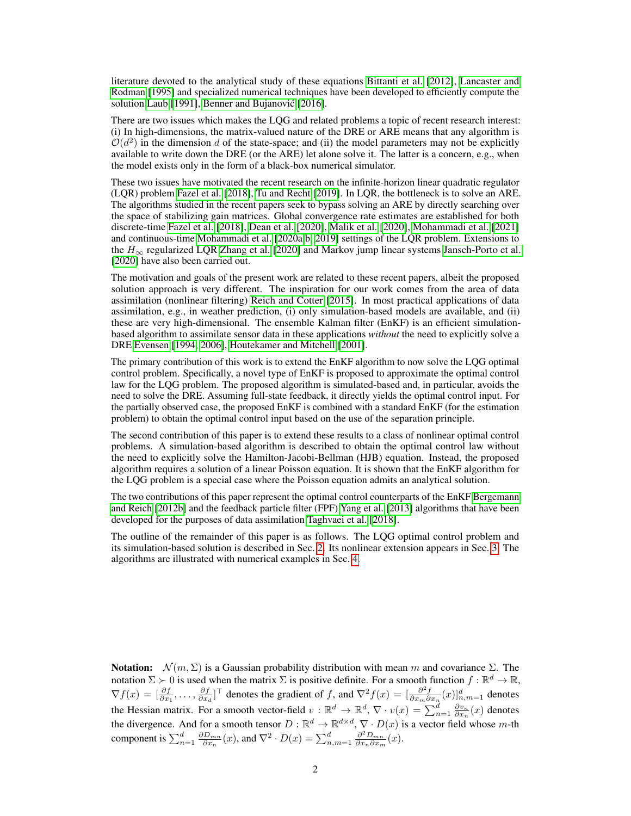literature devoted to the analytical study of these equations [Bittanti et al.](#page-9-0) [\[2012\]](#page-9-0), [Lancaster and](#page-10-1) [Rodman](#page-10-1) [\[1995\]](#page-10-1) and specialized numerical techniques have been developed to efficiently compute the solution [Laub](#page-10-2) [\[1991\]](#page-10-2), Benner and Bujanović [\[2016\]](#page-9-1).

There are two issues which makes the LQG and related problems a topic of recent research interest: (i) In high-dimensions, the matrix-valued nature of the DRE or ARE means that any algorithm is  $\mathcal{O}(d^2)$  in the dimension d of the state-space; and (ii) the model parameters may not be explicitly available to write down the DRE (or the ARE) let alone solve it. The latter is a concern, e.g., when the model exists only in the form of a black-box numerical simulator.

These two issues have motivated the recent research on the infinite-horizon linear quadratic regulator (LQR) problem [Fazel et al.](#page-10-3) [\[2018\]](#page-10-3), [Tu and Recht](#page-12-0) [\[2019\]](#page-12-0). In LQR, the bottleneck is to solve an ARE. The algorithms studied in the recent papers seek to bypass solving an ARE by directly searching over the space of stabilizing gain matrices. Global convergence rate estimates are established for both discrete-time [Fazel et al.](#page-10-3) [\[2018\]](#page-10-3), [Dean et al.](#page-9-2) [\[2020\]](#page-9-2), [Malik et al.](#page-11-0) [\[2020\]](#page-11-0), [Mohammadi et al.](#page-11-1) [\[2021\]](#page-11-1) and continuous-time [Mohammadi et al.](#page-11-2) [\[2020a,](#page-11-2)[b,](#page-11-3) [2019\]](#page-11-4) settings of the LQR problem. Extensions to the  $H_{\infty}$  regularized LQR [Zhang et al.](#page-12-1) [\[2020\]](#page-12-1) and Markov jump linear systems [Jansch-Porto et al.](#page-10-4) [\[2020\]](#page-10-4) have also been carried out.

The motivation and goals of the present work are related to these recent papers, albeit the proposed solution approach is very different. The inspiration for our work comes from the area of data assimilation (nonlinear filtering) [Reich and Cotter](#page-11-5) [\[2015\]](#page-11-5). In most practical applications of data assimilation, e.g., in weather prediction, (i) only simulation-based models are available, and (ii) these are very high-dimensional. The ensemble Kalman filter (EnKF) is an efficient simulationbased algorithm to assimilate sensor data in these applications *without* the need to explicitly solve a DRE [Evensen](#page-10-5) [\[1994,](#page-10-5) [2006\]](#page-10-6), [Houtekamer and Mitchell](#page-10-7) [\[2001\]](#page-10-7).

The primary contribution of this work is to extend the EnKF algorithm to now solve the LQG optimal control problem. Specifically, a novel type of EnKF is proposed to approximate the optimal control law for the LQG problem. The proposed algorithm is simulated-based and, in particular, avoids the need to solve the DRE. Assuming full-state feedback, it directly yields the optimal control input. For the partially observed case, the proposed EnKF is combined with a standard EnKF (for the estimation problem) to obtain the optimal control input based on the use of the separation principle.

The second contribution of this paper is to extend these results to a class of nonlinear optimal control problems. A simulation-based algorithm is described to obtain the optimal control law without the need to explicitly solve the Hamilton-Jacobi-Bellman (HJB) equation. Instead, the proposed algorithm requires a solution of a linear Poisson equation. It is shown that the EnKF algorithm for the LQG problem is a special case where the Poisson equation admits an analytical solution.

The two contributions of this paper represent the optimal control counterparts of the EnKF [Bergemann](#page-9-3) [and Reich](#page-9-3) [\[2012b\]](#page-9-3) and the feedback particle filter (FPF) [Yang et al.](#page-12-2) [\[2013\]](#page-12-2) algorithms that have been developed for the purposes of data assimilation [Taghvaei et al.](#page-12-3) [\[2018\]](#page-12-3).

The outline of the remainder of this paper is as follows. The LQG optimal control problem and its simulation-based solution is described in Sec. [2.](#page-2-0) Its nonlinear extension appears in Sec. [3.](#page-6-0) The algorithms are illustrated with numerical examples in Sec. [4.](#page-8-0)

**Notation:**  $\mathcal{N}(m, \Sigma)$  is a Gaussian probability distribution with mean m and covariance Σ. The notation  $\Sigma \succ 0$  is used when the matrix  $\Sigma$  is positive definite. For a smooth function  $f : \mathbb{R}^d \to \mathbb{R}$ ,  $\nabla f(x) = \left[\frac{\partial f}{\partial x_1}, \dots, \frac{\partial f}{\partial x_d}\right]^\top$  denotes the gradient of f, and  $\nabla^2 f(x) = \left[\frac{\partial^2 f}{\partial x_m \partial x_n}(x)\right]_{n,m=1}^d$  denotes the Hessian matrix. For a smooth vector-field  $v : \mathbb{R}^d \to \mathbb{R}^d$ ,  $\nabla \cdot v(x) = \sum_{n=1}^d \frac{\partial v_n}{\partial x_n}(x)$  denotes the divergence. And for a smooth tensor  $D : \mathbb{R}^d \to \mathbb{R}^{d \times d}$ ,  $\nabla \cdot D(x)$  is a vector field whose m-th component is  $\sum_{n=1}^{d} \frac{\partial D_{mn}}{\partial x_n}(x)$ , and  $\nabla^2 \cdot D(x) = \sum_{n,m=1}^{d} \frac{\partial^2 D_{mn}}{\partial x_n \partial x_m}(x)$ .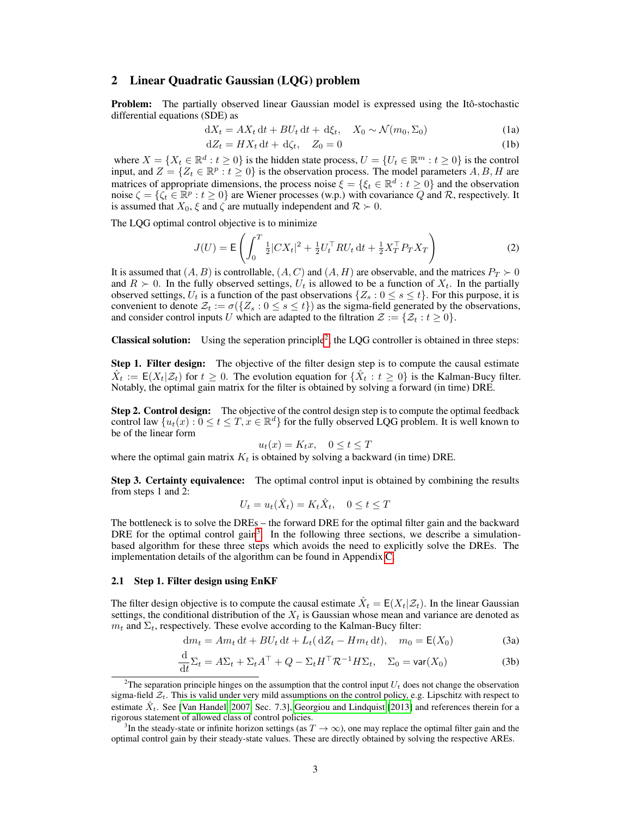## <span id="page-2-0"></span>2 Linear Quadratic Gaussian (LQG) problem

Problem: The partially observed linear Gaussian model is expressed using the Itô-stochastic differential equations (SDE) as

$$
dX_t = AX_t dt + BU_t dt + d\xi_t, \quad X_0 \sim \mathcal{N}(m_0, \Sigma_0)
$$
 (1a)

<span id="page-2-5"></span>
$$
dZ_t = HX_t dt + d\zeta_t, \quad Z_0 = 0 \tag{1b}
$$

where  $X = \{X_t \in \mathbb{R}^d : t \geq 0\}$  is the hidden state process,  $U = \{U_t \in \mathbb{R}^m : t \geq 0\}$  is the control input, and  $Z = \{Z_t \in \mathbb{R}^p : t \geq 0\}$  is the observation process. The model parameters A, B, H are matrices of appropriate dimensions, the process noise  $\xi = \{\xi_t \in \mathbb{R}^d : t \geq 0\}$  and the observation noise  $\zeta = \{\zeta_t \in \mathbb{R}^p : t \geq 0\}$  are Wiener processes (w.p.) with covariance Q and R, respectively. It is assumed that  $X_0$ ,  $\xi$  and  $\zeta$  are mutually independent and  $\mathcal{R} \succ 0$ .

The LQG optimal control objective is to minimize

<span id="page-2-6"></span>
$$
J(U) = \mathsf{E}\left(\int_0^T \frac{1}{2} |CX_t|^2 + \frac{1}{2} U_t^\top R U_t \, \mathrm{d}t + \frac{1}{2} X_T^\top P_T X_T\right) \tag{2}
$$

It is assumed that  $(A, B)$  is controllable,  $(A, C)$  and  $(A, H)$  are observable, and the matrices  $P_T \succ 0$ and  $R \succ 0$ . In the fully observed settings,  $U_t$  is allowed to be a function of  $X_t$ . In the partially observed settings,  $U_t$  is a function of the past observations  $\{Z_s : 0 \le s \le t\}$ . For this purpose, it is convenient to denote  $\mathcal{Z}_t := \sigma({Z_s : 0 \le s \le t})$  as the sigma-field generated by the observations, and consider control inputs U which are adapted to the filtration  $\mathcal{Z} := \{ \mathcal{Z}_t : t \geq 0 \}.$ 

**Classical solution:** Using the seperation principle<sup>[2](#page-2-1)</sup>, the LQG controller is obtained in three steps:

**Step 1. Filter design:** The objective of the filter design step is to compute the causal estimate  $\hat{X}_t := \mathsf{E}(X_t | \mathcal{Z}_t)$  for  $t \geq 0$ . The evolution equation for  $\{\hat{X}_t : t \geq 0\}$  is the Kalman-Bucy filter. Notably, the optimal gain matrix for the filter is obtained by solving a forward (in time) DRE.

**Step 2. Control design:** The objective of the control design step is to compute the optimal feedback control law  $\{u_t(x): 0 \le t \le T, x \in \mathbb{R}^d\}$  for the fully observed LQG problem. It is well known to be of the linear form

$$
u_t(x) = K_t x, \quad 0 \le t \le T
$$

where the optimal gain matrix  $K_t$  is obtained by solving a backward (in time) DRE.

Step 3. Certainty equivalence: The optimal control input is obtained by combining the results from steps 1 and 2:

<span id="page-2-4"></span><span id="page-2-3"></span>
$$
U_t = u_t(\hat{X}_t) = K_t \hat{X}_t, \quad 0 \le t \le T
$$

The bottleneck is to solve the DREs – the forward DRE for the optimal filter gain and the backward DRE for the optimal control gain<sup>[3](#page-2-2)</sup>. In the following three sections, we describe a simulationbased algorithm for these three steps which avoids the need to explicitly solve the DREs. The implementation details of the algorithm can be found in Appendix [C.](#page-13-0)

#### 2.1 Step 1. Filter design using EnKF

The filter design objective is to compute the causal estimate  $\hat{X}_t = \mathsf{E}(X_t | \mathcal{Z}_t)$ . In the linear Gaussian settings, the conditional distribution of the  $X_t$  is Gaussian whose mean and variance are denoted as  $m_t$  and  $\Sigma_t$ , respectively. These evolve according to the Kalman-Bucy filter:

$$
\mathrm{d}m_t = Am_t \,\mathrm{d}t + BU_t \,\mathrm{d}t + L_t \left(\,\mathrm{d}Z_t - Hm_t \,\mathrm{d}t\right), \quad m_0 = \mathsf{E}(X_0) \tag{3a}
$$

$$
\frac{\mathrm{d}}{\mathrm{d}t} \Sigma_t = A \Sigma_t + \Sigma_t A^\top + Q - \Sigma_t H^\top \mathcal{R}^{-1} H \Sigma_t, \quad \Sigma_0 = \text{var}(X_0)
$$
\n(3b)

<span id="page-2-1"></span><sup>&</sup>lt;sup>2</sup>The separation principle hinges on the assumption that the control input  $U_t$  does not change the observation sigma-field  $\mathcal{Z}_t$ . This is valid under very mild assumptions on the control policy, e.g. Lipschitz with respect to estimate  $\hat{X}_t$ . See [\[Van Handel, 2007,](#page-12-4) Sec. 7.3], [Georgiou and Lindquist](#page-10-8) [\[2013\]](#page-10-8) and references therein for a rigorous statement of allowed class of control policies.

<span id="page-2-2"></span><sup>&</sup>lt;sup>3</sup>In the steady-state or infinite horizon settings (as  $T \to \infty$ ), one may replace the optimal filter gain and the optimal control gain by their steady-state values. These are directly obtained by solving the respective AREs.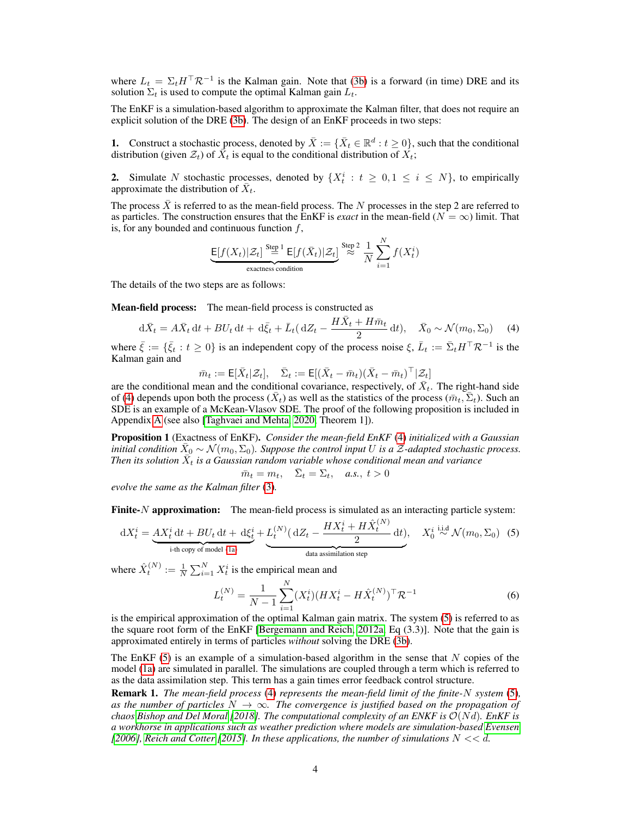where  $L_t = \Sigma_t H^\top \mathcal{R}^{-1}$  is the Kalman gain. Note that [\(3b\)](#page-2-3) is a forward (in time) DRE and its solution  $\Sigma_t$  is used to compute the optimal Kalman gain  $L_t$ .

The EnKF is a simulation-based algorithm to approximate the Kalman filter, that does not require an explicit solution of the DRE [\(3b\)](#page-2-3). The design of an EnKF proceeds in two steps:

**1.** Construct a stochastic process, denoted by  $\bar{X} := \{ \bar{X}_t \in \mathbb{R}^d : t \geq 0 \}$ , such that the conditional distribution (given  $\mathcal{Z}_t$ ) of  $\vec{X}_t$  is equal to the conditional distribution of  $\vec{X}_t$ ;

2. Simulate N stochastic processes, denoted by  $\{X_t^i : t \geq 0, 1 \leq i \leq N\}$ , to empirically approximate the distribution of  $\bar{X}_t$ .

The process  $\bar{X}$  is referred to as the mean-field process. The N processes in the step 2 are referred to as particles. The construction ensures that the EnKF is *exact* in the mean-field ( $N = \infty$ ) limit. That is, for any bounded and continuous function  $f$ ,

$$
\underbrace{\mathsf{E}[f(X_t)|\mathcal{Z}_t]}_{\text{exactness condition}} \underbrace{\mathsf{E}[f(\bar{X}_t)|\mathcal{Z}_t]}_{\text{exactness condition}} \stackrel{\text{Step 2}}{\approx} \frac{1}{N} \sum_{i=1}^N f(X_t^i)
$$

The details of the two steps are as follows:

Mean-field process: The mean-field process is constructed as

<span id="page-3-0"></span>
$$
d\bar{X}_t = A\bar{X}_t dt + BU_t dt + d\bar{\xi}_t + \bar{L}_t (dZ_t - \frac{H\bar{X}_t + H\bar{m}_t}{2} dt), \quad \bar{X}_0 \sim \mathcal{N}(m_0, \Sigma_0)
$$
 (4)

where  $\bar{\xi} := \{\bar{\xi}_t : t \geq 0\}$  is an independent copy of the process noise  $\xi$ ,  $\bar{L}_t := \bar{\Sigma}_t H^\top \mathcal{R}^{-1}$  is the Kalman gain and

$$
\bar{m}_t := \mathsf{E}[\bar{X}_t|\mathcal{Z}_t], \quad \bar{\Sigma}_t := \mathsf{E}[(\bar{X}_t - \bar{m}_t)(\bar{X}_t - \bar{m}_t)^\top | \mathcal{Z}_t]
$$

are the conditional mean and the conditional covariance, respectively, of  $\bar{X}_t$ . The right-hand side of [\(4\)](#page-3-0) depends upon both the process  $(\bar{X}_t)$  as well as the statistics of the process  $(\bar{m}_t, \bar{\Sigma}_t)$ . Such an SDE is an example of a McKean-Vlasov SDE. The proof of the following proposition is included in Appendix [A](#page-12-5) (see also [\[Taghvaei and Mehta, 2020,](#page-11-6) Theorem 1]).

<span id="page-3-3"></span>Proposition 1 (Exactness of EnKF). *Consider the mean-field EnKF* [\(4\)](#page-3-0) *initialized with a Gaussian initial condition*  $\bar{X}_0 \sim \mathcal{N}(m_0, \Sigma_0)$ . Suppose the control input U is a  $\tilde{Z}$ -adapted stochastic process. Then its solution  $\bar{X}_t$  is a Gaussian random variable whose conditional mean and variance

$$
\bar{m}_t = m_t, \quad \bar{\Sigma}_t = \Sigma_t, \quad a.s., \ t > 0
$$

*evolve the same as the Kalman filter* [\(3\)](#page-2-4)*.*

**Finite-** $N$  **approximation:** The mean-field process is simulated as an interacting particle system:  $(1)$ 

<span id="page-3-1"></span>
$$
dX_t^i = \underbrace{AX_t^i dt + BU_t dt + d\xi_t^i}_{\text{i-th copy of model (1a)}} + \underbrace{L_t^{(N)}(dZ_t - \frac{HX_t^i + H\hat{X}_t^{(N)}}{2}dt)}_{\text{data assimilation step}}, \quad X_0^i \stackrel{\text{i.i.d}}{\sim} \mathcal{N}(m_0, \Sigma_0) \tag{5}
$$

where  $\hat{X}_t^{(N)} := \frac{1}{N} \sum_{i=1}^N X_t^i$  is the empirical mean and

<span id="page-3-2"></span>
$$
L_t^{(N)} = \frac{1}{N-1} \sum_{i=1}^{N} (X_t^i) (H X_t^i - H \hat{X}_t^{(N)})^\top \mathcal{R}^{-1}
$$
 (6)

is the empirical approximation of the optimal Kalman gain matrix. The system [\(5\)](#page-3-1) is referred to as the square root form of the EnKF [\[Bergemann and Reich, 2012a,](#page-9-4) Eq (3.3)]. Note that the gain is approximated entirely in terms of particles *without* solving the DRE [\(3b\)](#page-2-3).

The EnKF  $(5)$  is an example of a simulation-based algorithm in the sense that N copies of the model [\(1a\)](#page-2-5) are simulated in parallel. The simulations are coupled through a term which is referred to as the data assimilation step. This term has a gain times error feedback control structure.

Remark 1. *The mean-field process* [\(4\)](#page-3-0) *represents the mean-field limit of the finite-*N *system* [\(5\)](#page-3-1)*,* as the number of particles  $N \to \infty$ . The convergence is justified based on the propagation of *chaos* [Bishop and Del Moral](#page-9-5) [\[2018\]](#page-9-5). The computational complexity of an ENKF is  $\mathcal{O}(Nd)$ *. EnKF is a workhorse in applications such as weather prediction where models are simulation-based [Evensen](#page-10-6)*  $[2006]$ *, [Reich and Cotter](#page-11-5)*  $[2015]$ *. In these applications, the number of simulations*  $N \ll d$ *.*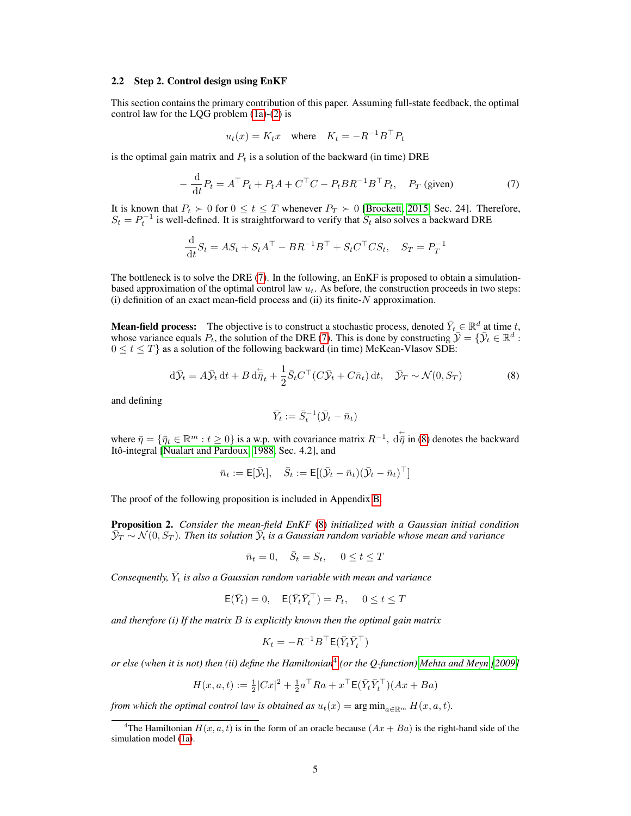#### 2.2 Step 2. Control design using EnKF

This section contains the primary contribution of this paper. Assuming full-state feedback, the optimal control law for the LQG problem [\(1a\)](#page-2-5)-[\(2\)](#page-2-6) is

$$
u_t(x) = K_t x \quad \text{where} \quad K_t = -R^{-1}B^\top P_t
$$

is the optimal gain matrix and  $P_t$  is a solution of the backward (in time) DRE

<span id="page-4-0"></span>
$$
-\frac{\mathrm{d}}{\mathrm{d}t}P_t = A^\top P_t + P_t A + C^\top C - P_t B R^{-1} B^\top P_t, \quad P_T \text{ (given)}
$$
\n<sup>(7)</sup>

It is known that  $P_t \succ 0$  for  $0 \le t \le T$  whenever  $P_T \succ 0$  [\[Brockett, 2015,](#page-9-6) Sec. 24]. Therefore,  $S_t = P_t^{-1}$  is well-defined. It is straightforward to verify that  $S_t$  also solves a backward DRE

$$
\frac{\mathrm{d}}{\mathrm{d}t}S_t = AS_t + S_t A^\top - BR^{-1} B^\top + S_t C^\top C S_t, \quad S_T = P_T^{-1}
$$

The bottleneck is to solve the DRE [\(7\)](#page-4-0). In the following, an EnKF is proposed to obtain a simulationbased approximation of the optimal control law  $u_t$ . As before, the construction proceeds in two steps:  $(i)$  definition of an exact mean-field process and  $(ii)$  its finite- $N$  approximation.

**Mean-field process:** The objective is to construct a stochastic process, denoted  $\bar{Y}_t \in \mathbb{R}^d$  at time t, whose variance equals  $P_t$ , the solution of the DRE [\(7\)](#page-4-0). This is done by constructing  $\bar{\mathcal{Y}} = \{\bar{\mathcal{Y}}_t \in \mathbb{R}^d :$  $0 \le t \le T$  as a solution of the following backward (in time) McKean-Vlasov SDE:

$$
d\bar{\mathcal{Y}}_t = A\bar{\mathcal{Y}}_t dt + B d\bar{\eta}_t + \frac{1}{2} \bar{S}_t C^\top (C\bar{\mathcal{Y}}_t + C\bar{n}_t) dt, \quad \bar{\mathcal{Y}}_T \sim \mathcal{N}(0, S_T)
$$
(8)

and defining

<span id="page-4-1"></span>
$$
\bar{Y}_t:=\bar{S}_t^{-1}(\bar{\mathcal{Y}}_t-\bar{n}_t)
$$

where  $\bar{\eta} = \{\bar{\eta}_t \in \mathbb{R}^m : t \geq 0\}$  is a w.p. with covariance matrix  $R^{-1}$ ,  $d\bar{\eta}$  in [\(8\)](#page-4-1) denotes the backward Itô-integral [\[Nualart and Pardoux, 1988,](#page-11-7) Sec. 4.2], and

$$
\bar{n}_t := \mathsf{E}[\bar{\mathcal{Y}}_t], \quad \bar{S}_t := \mathsf{E}[(\bar{\mathcal{Y}}_t - \bar{n}_t)(\bar{\mathcal{Y}}_t - \bar{n}_t)^{\top}]
$$

The proof of the following proposition is included in Appendix [B.](#page-13-1)

<span id="page-4-3"></span>Proposition 2. *Consider the mean-field EnKF* [\(8\)](#page-4-1) *initialized with a Gaussian initial condition*  $\bar{\mathcal{Y}}_T \sim \mathcal{N}(0,S_T)$ . Then its solution  $\bar{\mathcal{Y}}_t$  is a Gaussian random variable whose mean and variance

$$
\bar{n}_t = 0, \quad \bar{S}_t = S_t, \quad 0 \le t \le T
$$

 $\emph{Consequently,} \ \bar{Y}_t$  is also a Gaussian random variable with mean and variance

$$
\mathsf{E}(\bar{Y}_t) = 0, \quad \mathsf{E}(\bar{Y}_t \bar{Y}_t^\top) = P_t, \quad 0 \le t \le T
$$

*and therefore (i) If the matrix* B *is explicitly known then the optimal gain matrix*

$$
K_t = -R^{-1}B^\top \mathsf{E}(\bar{Y}_t\bar{Y}_t^\top)
$$

*or else (when it is not) then (ii) define the Hamiltonian*[4](#page-4-2) *(or the Q-function) [Mehta and Meyn](#page-11-8) [\[2009\]](#page-11-8)*

$$
H(x, a, t) := \frac{1}{2} |Cx|^2 + \frac{1}{2} a^{\top} Ra + x^{\top} E(\bar{Y}_t \bar{Y}_t^{\top}) (Ax + Ba)
$$

*from which the optimal control law is obtained as*  $u_t(x) = \arg \min_{a \in \mathbb{R}^m} H(x, a, t)$ *.* 

<span id="page-4-2"></span><sup>&</sup>lt;sup>4</sup>The Hamiltonian  $H(x, a, t)$  is in the form of an oracle because  $(Ax + Ba)$  is the right-hand side of the simulation model [\(1a\)](#page-2-5).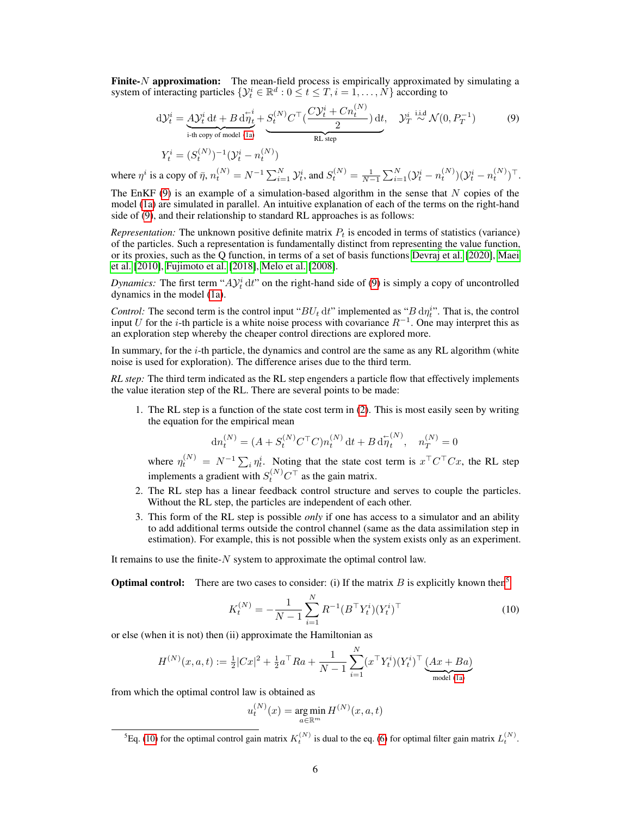**Finite-** $N$  **approximation:** The mean-field process is empirically approximated by simulating a system of interacting particles  $\{Y_t^i \in \mathbb{R}^d : 0 \le t \le T, i = 1, ..., N\}$  according to

<span id="page-5-0"></span>
$$
d\mathcal{Y}_t^i = \underbrace{A \mathcal{Y}_t^i dt + B d \overline{\eta}_t^i}_{i\text{-th copy of model (1a)}} + \underbrace{S_t^{(N)} C^\top (\frac{C \mathcal{Y}_t^i + C n_t^{(N)}}{2}) dt}_{RL \text{ step}}, \quad \mathcal{Y}_T^i \stackrel{\text{i.i.d}}{\sim} \mathcal{N}(0, P_T^{-1})
$$
(9)

$$
Y_t^i = (S_t^{(N)})^{-1} (\mathcal{Y}_t^i - n_t^{(N)})
$$

where  $\eta^i$  is a copy of  $\bar{\eta}$ ,  $n_t^{(N)} = N^{-1} \sum_{i=1}^N \mathcal{Y}_t^i$ , and  $S_t^{(N)} = \frac{1}{N-1} \sum_{i=1}^N (\mathcal{Y}_t^i - n_t^{(N)})(\mathcal{Y}_t^i - n_t^{(N)})^\top$ .

The EnKF  $(9)$  is an example of a simulation-based algorithm in the sense that N copies of the model [\(1a\)](#page-2-5) are simulated in parallel. An intuitive explanation of each of the terms on the right-hand side of [\(9\)](#page-5-0), and their relationship to standard RL approaches is as follows:

*Representation:* The unknown positive definite matrix  $P_t$  is encoded in terms of statistics (variance) of the particles. Such a representation is fundamentally distinct from representing the value function, or its proxies, such as the Q function, in terms of a set of basis functions [Devraj et al.](#page-10-9) [\[2020\]](#page-10-9), [Maei](#page-11-9) [et al.](#page-11-9) [\[2010\]](#page-11-9), [Fujimoto et al.](#page-10-10) [\[2018\]](#page-10-10), [Melo et al.](#page-11-10) [\[2008\]](#page-11-10).

*Dynamics:* The first term " $A y_t^i dt$ " on the right-hand side of [\(9\)](#page-5-0) is simply a copy of uncontrolled dynamics in the model [\(1a\)](#page-2-5).

*Control:* The second term is the control input " $BU_t$  dt" implemented as " $B \, d\eta_t^i$ ". That is, the control input U for the i-th particle is a white noise process with covariance  $R^{-1}$ . One may interpret this as an exploration step whereby the cheaper control directions are explored more.

In summary, for the  $i$ -th particle, the dynamics and control are the same as any RL algorithm (white noise is used for exploration). The difference arises due to the third term.

*RL step:* The third term indicated as the RL step engenders a particle flow that effectively implements the value iteration step of the RL. There are several points to be made:

1. The RL step is a function of the state cost term in [\(2\)](#page-2-6). This is most easily seen by writing the equation for the empirical mean

$$
dn_t^{(N)} = (A + S_t^{(N)} C^\top C) n_t^{(N)} dt + B d\eta_t^{(N)}, \quad n_T^{(N)} = 0
$$

where  $\eta_t^{(N)} = N^{-1} \sum_i \eta_t^i$ . Noting that the state cost term is  $x^\top C^\top C x$ , the RL step implements a gradient with  $S_t^{(N)} C^{\top}$  as the gain matrix.

- 2. The RL step has a linear feedback control structure and serves to couple the particles. Without the RL step, the particles are independent of each other.
- 3. This form of the RL step is possible *only* if one has access to a simulator and an ability to add additional terms outside the control channel (same as the data assimilation step in estimation). For example, this is not possible when the system exists only as an experiment.

It remains to use the finite- $N$  system to approximate the optimal control law.

**Optimal control:** There are two cases to consider: (i) If the matrix  $B$  is explicitly known then<sup>[5](#page-5-1)</sup>

<span id="page-5-2"></span>
$$
K_t^{(N)} = -\frac{1}{N-1} \sum_{i=1}^{N} R^{-1} (B^{\top} Y_t^i) (Y_t^i)^{\top}
$$
 (10)

or else (when it is not) then (ii) approximate the Hamiltonian as

$$
H^{(N)}(x, a, t) := \frac{1}{2} |Cx|^2 + \frac{1}{2} a^{\top} R a + \frac{1}{N - 1} \sum_{i=1}^{N} (x^{\top} Y_t^i) (Y_t^i)^{\top} \underbrace{(Ax + Ba)}_{\text{model (1a)}}
$$

from which the optimal control law is obtained as

$$
u^{(N)}_t(x)=\mathop{\arg\min}_{a\in\mathbb{R}^m}H^{(N)}(x,a,t)
$$

<span id="page-5-1"></span><sup>&</sup>lt;sup>5</sup>Eq. [\(10\)](#page-5-2) for the optimal control gain matrix  $K_t^{(N)}$  is dual to the eq. [\(6\)](#page-3-2) for optimal filter gain matrix  $L_t^{(N)}$ .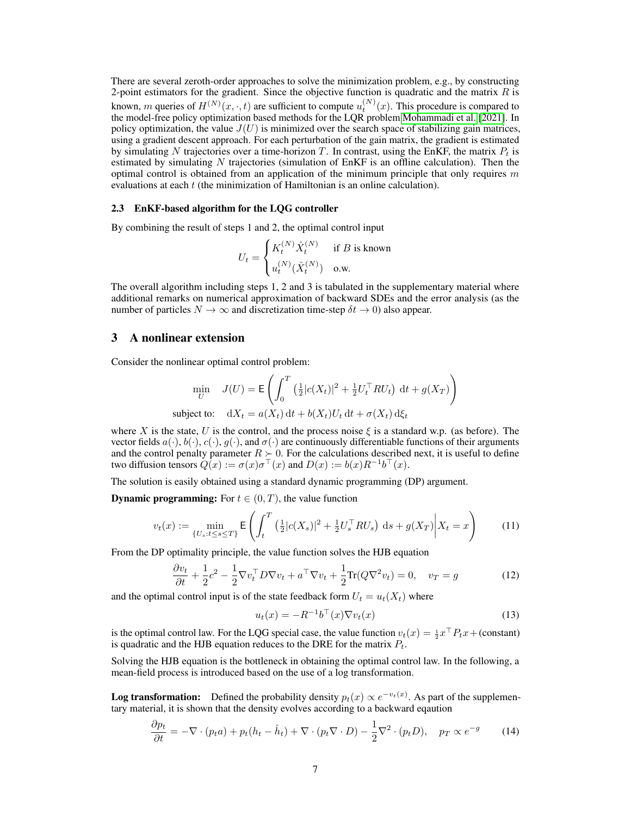There are several zeroth-order approaches to solve the minimization problem, e.g., by constructing 2-point estimators for the gradient. Since the objective function is quadratic and the matrix  $R$  is known, m queries of  $H^{(N)}(x,\cdot,t)$  are sufficient to compute  $u_t^{(N)}(x)$ . This procedure is compared to the model-free policy optimization based methods for the LQR problem [Mohammadi et al.](#page-11-1) [\[2021\]](#page-11-1). In policy optimization, the value  $J(U)$  is minimized over the search space of stabilizing gain matrices, using a gradient descent approach. For each perturbation of the gain matrix, the gradient is estimated by simulating N trajectories over a time-horizon T. In contrast, using the EnKF, the matrix  $P_t$  is estimated by simulating  $N$  trajectories (simulation of EnKF is an offline calculation). Then the optimal control is obtained from an application of the minimum principle that only requires  $m$ evaluations at each t (the minimization of Hamiltonian is an online calculation).

#### 2.3 EnKF-based algorithm for the LQG controller

By combining the result of steps 1 and 2, the optimal control input

$$
U_t = \begin{cases} K_t^{(N)} \hat{X}_t^{(N)} & \text{if } B \text{ is known} \\ u_t^{(N)} (\hat{X}_t^{(N)}) & \text{o.w.} \end{cases}
$$

The overall algorithm including steps 1, 2 and 3 is tabulated in the supplementary material where additional remarks on numerical approximation of backward SDEs and the error analysis (as the number of particles  $N \to \infty$  and discretization time-step  $\delta t \to 0$ ) also appear.

## <span id="page-6-0"></span>3 A nonlinear extension

Consider the nonlinear optimal control problem:

$$
\min_{U} \quad J(U) = \mathsf{E}\left(\int_0^T \left(\frac{1}{2}|c(X_t)|^2 + \frac{1}{2}U_t^\top R U_t\right) \, \mathrm{d}t + g(X_T)\right)
$$
\n
$$
\text{subject to:} \quad \mathrm{d}X_t = a(X_t) \, \mathrm{d}t + b(X_t)U_t \, \mathrm{d}t + \sigma(X_t) \, \mathrm{d}\xi_t
$$

where X is the state, U is the control, and the process noise  $\xi$  is a standard w.p. (as before). The vector fields  $a(\cdot), b(\cdot), c(\cdot), g(\cdot)$ , and  $\sigma(\cdot)$  are continuously differentiable functions of their arguments and the control penalty parameter  $R \geq 0$ . For the calculations described next, it is useful to define two diffusion tensors  $Q(x) := \sigma(x)\sigma^{\top}(x)$  and  $D(x) := b(x)R^{-1}b^{\top}(x)$ .

The solution is easily obtained using a standard dynamic programming (DP) argument.

**Dynamic programming:** For  $t \in (0, T)$ , the value function

$$
v_t(x) := \min_{\{U_s : t \le s \le T\}} \mathsf{E}\left(\int_t^T \left(\frac{1}{2} |c(X_s)|^2 + \frac{1}{2} U_s^\top R U_s\right) \, \mathrm{d} s + g(X_T) \middle| X_t = x\right) \tag{11}
$$

From the DP optimality principle, the value function solves the HJB equation

$$
\frac{\partial v_t}{\partial t} + \frac{1}{2}c^2 - \frac{1}{2}\nabla v_t^\top D \nabla v_t + a^\top \nabla v_t + \frac{1}{2}\text{Tr}(Q \nabla^2 v_t) = 0, \quad v_T = g \tag{12}
$$

and the optimal control input is of the state feedback form  $U_t = u_t(X_t)$  where

<span id="page-6-2"></span><span id="page-6-1"></span>
$$
u_t(x) = -R^{-1}b^\top(x)\nabla v_t(x) \tag{13}
$$

is the optimal control law. For the LQG special case, the value function  $v_t(x) = \frac{1}{2}x^\top P_t x + (constant)$ is quadratic and the HJB equation reduces to the DRE for the matrix  $P_t$ .

Solving the HJB equation is the bottleneck in obtaining the optimal control law. In the following, a mean-field process is introduced based on the use of a log transformation.

**Log transformation:** Defined the probability density  $p_t(x) \propto e^{-v_t(x)}$ . As part of the supplementary material, it is shown that the density evolves according to a backward eqaution

$$
\frac{\partial p_t}{\partial t} = -\nabla \cdot (p_t a) + p_t (h_t - \hat{h}_t) + \nabla \cdot (p_t \nabla \cdot D) - \frac{1}{2} \nabla^2 \cdot (p_t D), \quad p_T \propto e^{-g} \tag{14}
$$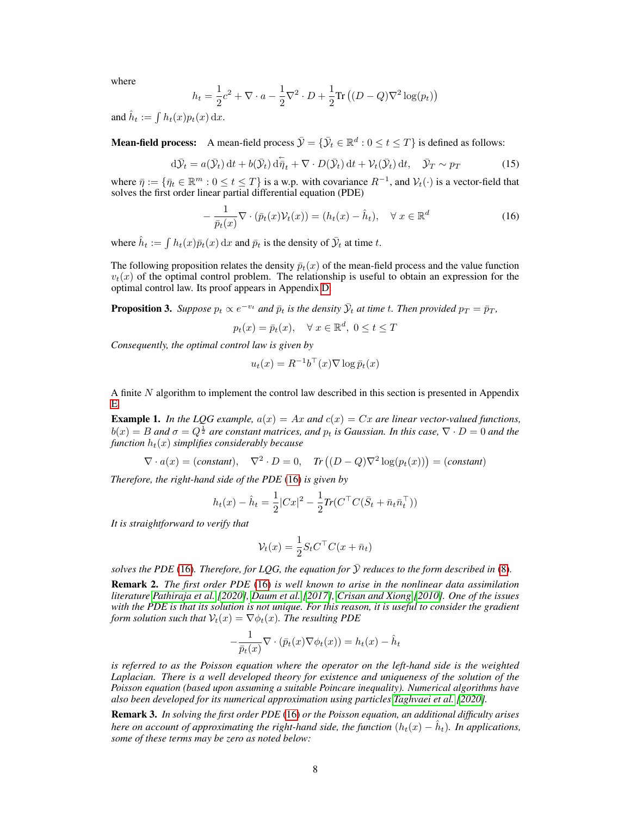where

$$
h_t = \frac{1}{2}c^2 + \nabla \cdot a - \frac{1}{2}\nabla^2 \cdot D + \frac{1}{2}\text{Tr}\left((D - Q)\nabla^2 \log(p_t)\right)
$$

and  $\hat{h}_t := \int h_t(x) p_t(x) \, dx$ .

**Mean-field process:** A mean-field process  $\bar{\mathcal{Y}} = \{\bar{\mathcal{Y}}_t \in \mathbb{R}^d : 0 \le t \le T\}$  is defined as follows:

<span id="page-7-2"></span>
$$
d\bar{\mathcal{Y}}_t = a(\bar{\mathcal{Y}}_t) dt + b(\bar{\mathcal{Y}}_t) d\bar{\eta}_t + \nabla \cdot D(\bar{\mathcal{Y}}_t) dt + \mathcal{V}_t(\bar{\mathcal{Y}}_t) dt, \quad \bar{\mathcal{Y}}_T \sim p_T \tag{15}
$$

where  $\bar{\eta} := \{\bar{\eta}_t \in \mathbb{R}^m : 0 \le t \le T\}$  is a w.p. with covariance  $R^{-1}$ , and  $\mathcal{V}_t(\cdot)$  is a vector-field that solves the first order linear partial differential equation (PDE)

<span id="page-7-0"></span>
$$
-\frac{1}{\bar{p}_t(x)}\nabla \cdot (\bar{p}_t(x)\mathcal{V}_t(x)) = (h_t(x) - \hat{h}_t), \quad \forall \ x \in \mathbb{R}^d
$$
\n(16)

where  $\hat{h}_t := \int h_t(x) \bar{p}_t(x) dx$  and  $\bar{p}_t$  is the density of  $\bar{\mathcal{Y}}_t$  at time t.

The following proposition relates the density  $\bar{p}_t(x)$  of the mean-field process and the value function  $v_t(x)$  of the optimal control problem. The relationship is useful to obtain an expression for the optimal control law. Its proof appears in Appendix [D.](#page-15-0)

<span id="page-7-3"></span>**Proposition 3.** Suppose  $p_t \propto e^{-v_t}$  and  $\bar{p}_t$  is the density  $\bar{\mathcal{Y}}_t$  at time t. Then provided  $p_T = \bar{p}_T$ ,

$$
p_t(x) = \bar{p}_t(x), \quad \forall \ x \in \mathbb{R}^d, \ 0 \le t \le T
$$

*Consequently, the optimal control law is given by*

$$
u_t(x) = R^{-1}b^\top(x)\nabla \log \bar{p}_t(x)
$$

A finite N algorithm to implement the control law described in this section is presented in Appendix [E.](#page-16-0)

<span id="page-7-1"></span>**Example 1.** In the LQG example,  $a(x) = Ax$  and  $c(x) = Cx$  are linear vector-valued functions,  $b(x) = B$  and  $\sigma = Q^{\frac{1}{2}}$  are constant matrices, and  $p_t$  is Gaussian. In this case,  $\nabla \cdot D = 0$  and the *function*  $h_t(x)$  *simplifies considerably because* 

$$
\nabla \cdot a(x) = (constant), \quad \nabla^2 \cdot D = 0, \quad \text{Tr}\left( (D - Q)\nabla^2 \log(p_t(x)) \right) = (constant)
$$

*Therefore, the right-hand side of the PDE* [\(16\)](#page-7-0) *is given by*

$$
h_t(x) - \hat{h}_t = \frac{1}{2} |Cx|^2 - \frac{1}{2} Tr(C^{\top} C (\bar{S}_t + \bar{n}_t \bar{n}_t^{\top}))
$$

*It is straightforward to verify that*

$$
\mathcal{V}_t(x) = \frac{1}{2} S_t C^\top C (x + \bar{n}_t)
$$

*solves the PDE* [\(16\)](#page-7-0)*. Therefore, for LOG, the equation for*  $\overline{Y}$  *reduces to the form described in* [\(8\)](#page-4-1)*.* 

Remark 2. *The first order PDE* [\(16\)](#page-7-0) *is well known to arise in the nonlinear data assimilation literature [Pathiraja et al.](#page-11-11) [\[2020\]](#page-11-11), [Daum et al.](#page-9-7) [\[2017\]](#page-9-7), [Crisan and Xiong](#page-9-8) [\[2010\]](#page-9-8). One of the issues with the PDE is that its solution is not unique. For this reason, it is useful to consider the gradient form solution such that*  $V_t(x) = \nabla \phi_t(x)$ *. The resulting PDE* 

$$
-\frac{1}{\bar{p}_t(x)}\nabla \cdot (\bar{p}_t(x)\nabla \phi_t(x)) = h_t(x) - \hat{h}_t
$$

*is referred to as the Poisson equation where the operator on the left-hand side is the weighted Laplacian. There is a well developed theory for existence and uniqueness of the solution of the Poisson equation (based upon assuming a suitable Poincare inequality). Numerical algorithms have also been developed for its numerical approximation using particles [Taghvaei et al.](#page-12-6) [\[2020\]](#page-12-6).*

Remark 3. *In solving the first order PDE* [\(16\)](#page-7-0) *or the Poisson equation, an additional difficulty arises here on account of approximating the right-hand side, the function*  $(h_t(x) - \hat{h}_t)$ *. In applications, some of these terms may be zero as noted below:*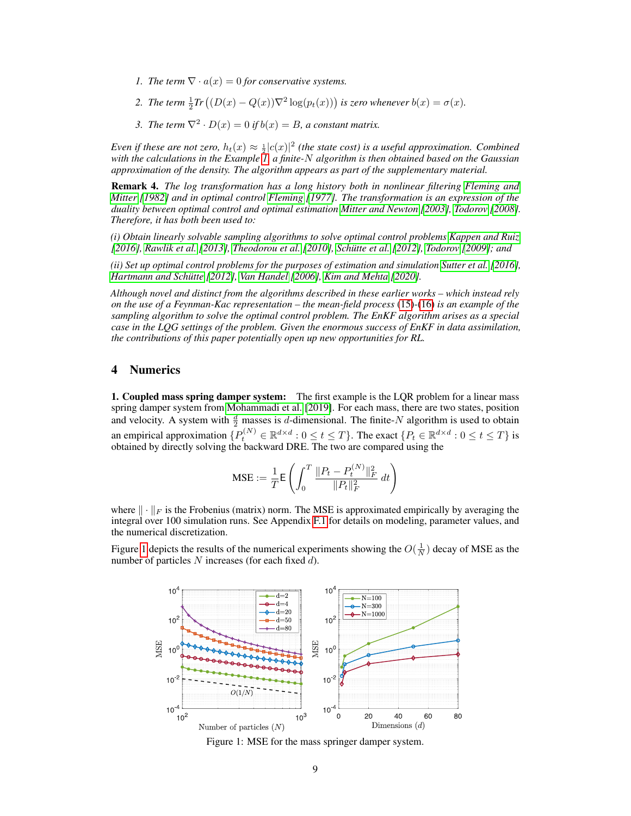- *1. The term*  $\nabla \cdot a(x) = 0$  *for conservative systems.*
- 2. *The term*  $\frac{1}{2}Tr((D(x) Q(x))\nabla^2 \log(p_t(x)))$  is zero whenever  $b(x) = \sigma(x)$ .
- *3. The term*  $\nabla^2 \cdot D(x) = 0$  *if*  $b(x) = B$ *, a constant matrix.*

*Even if these are not zero,*  $h_t(x) \approx \frac{1}{2}|c(x)|^2$  (the state cost) is a useful approximation. Combined *with the calculations in the Example [1,](#page-7-1) a finite-*N *algorithm is then obtained based on the Gaussian approximation of the density. The algorithm appears as part of the supplementary material.*

Remark 4. *The log transformation has a long history both in nonlinear filtering [Fleming and](#page-10-11) [Mitter](#page-10-11) [\[1982\]](#page-10-11) and in optimal control [Fleming](#page-10-12) [\[1977\]](#page-10-12). The transformation is an expression of the duality between optimal control and optimal estimation [Mitter and Newton](#page-11-12) [\[2003\]](#page-11-12), [Todorov](#page-12-7) [\[2008\]](#page-12-7). Therefore, it has both been used to:*

*(i) Obtain linearly solvable sampling algorithms to solve optimal control problems [Kappen and Ruiz](#page-10-13) [\[2016\]](#page-10-13), [Rawlik et al.](#page-11-13) [\[2013\]](#page-11-13), [Theodorou et al.](#page-12-8) [\[2010\]](#page-12-8), [Schütte et al.](#page-11-14) [\[2012\]](#page-11-14), [Todorov](#page-12-9) [\[2009\]](#page-12-9); and*

*(ii) Set up optimal control problems for the purposes of estimation and simulation [Sutter et al.](#page-11-15) [\[2016\]](#page-11-15), [Hartmann and Schütte](#page-10-14) [\[2012\]](#page-10-14), [Van Handel](#page-12-10) [\[2006\]](#page-12-10), [Kim and Mehta](#page-10-15) [\[2020\]](#page-10-15).*

*Although novel and distinct from the algorithms described in these earlier works – which instead rely on the use of a Feynman-Kac representation – the mean-field process* [\(15\)](#page-7-2)*-*[\(16\)](#page-7-0) *is an example of the sampling algorithm to solve the optimal control problem. The EnKF algorithm arises as a special case in the LQG settings of the problem. Given the enormous success of EnKF in data assimilation, the contributions of this paper potentially open up new opportunities for RL.*

## <span id="page-8-0"></span>4 Numerics

**1. Coupled mass spring damper system:** The first example is the LQR problem for a linear mass spring damper system from [Mohammadi et al.](#page-11-4) [\[2019\]](#page-11-4). For each mass, there are two states, position and velocity. A system with  $\frac{d}{2}$  masses is d-dimensional. The finite-N algorithm is used to obtain an empirical approximation  $\{P_t^{(N)} \in \mathbb{R}^{d \times d} : 0 \le t \le T\}$ . The exact  $\{P_t \in \mathbb{R}^{d \times d} : 0 \le t \le T\}$  is obtained by directly solving the backward DRE. The two are compared using the

$$
\text{MSE} := \frac{1}{T}\mathsf{E} \left(\int_0^T \frac{\|P_t - P_t^{(N)}\|_F^2}{\|P_t\|_F^2}\,dt\right)
$$

where  $\| \cdot \|_F$  is the Frobenius (matrix) norm. The MSE is approximated empirically by averaging the integral over 100 simulation runs. See Appendix [F.1](#page-17-0) for details on modeling, parameter values, and the numerical discretization.

Figure [1](#page-8-1) depicts the results of the numerical experiments showing the  $O(\frac{1}{N})$  decay of MSE as the number of particles  $N$  increases (for each fixed  $d$ ).



<span id="page-8-1"></span>Figure 1: MSE for the mass springer damper system.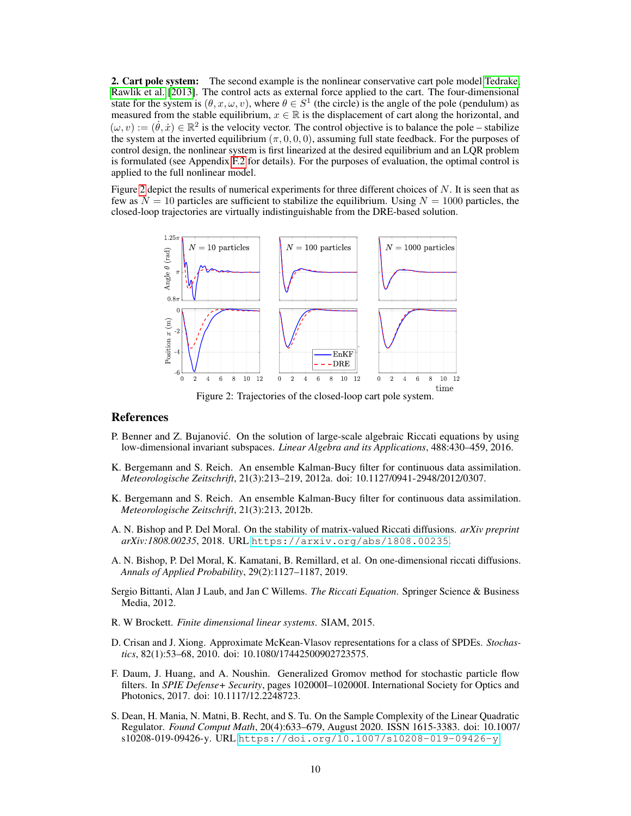2. Cart pole system: The second example is the nonlinear conservative cart pole model [Tedrake,](#page-12-11) [Rawlik et al.](#page-11-13) [\[2013\]](#page-11-13). The control acts as external force applied to the cart. The four-dimensional state for the system is  $(\theta, x, \omega, v)$ , where  $\theta \in S^1$  (the circle) is the angle of the pole (pendulum) as measured from the stable equilibrium,  $x \in \mathbb{R}$  is the displacement of cart along the horizontal, and  $(\omega, v) := (\dot{\theta}, \dot{x}) \in \mathbb{R}^2$  is the velocity vector. The control objective is to balance the pole – stabilize the system at the inverted equilibrium  $(\pi, 0, 0, 0)$ , assuming full state feedback. For the purposes of control design, the nonlinear system is first linearized at the desired equilibrium and an LQR problem is formulated (see Appendix [F.2](#page-18-0) for details). For the purposes of evaluation, the optimal control is applied to the full nonlinear model.

Figure [2](#page-9-9) depict the results of numerical experiments for three different choices of  $N$ . It is seen that as few as  $N = 10$  particles are sufficient to stabilize the equilibrium. Using  $N = 1000$  particles, the closed-loop trajectories are virtually indistinguishable from the DRE-based solution.



<span id="page-9-9"></span>Figure 2: Trajectories of the closed-loop cart pole system.

## References

- <span id="page-9-1"></span>P. Benner and Z. Bujanovic. On the solution of large-scale algebraic Riccati equations by using ´ low-dimensional invariant subspaces. *Linear Algebra and its Applications*, 488:430–459, 2016.
- <span id="page-9-4"></span>K. Bergemann and S. Reich. An ensemble Kalman-Bucy filter for continuous data assimilation. *Meteorologische Zeitschrift*, 21(3):213–219, 2012a. doi: 10.1127/0941-2948/2012/0307.
- <span id="page-9-3"></span>K. Bergemann and S. Reich. An ensemble Kalman-Bucy filter for continuous data assimilation. *Meteorologische Zeitschrift*, 21(3):213, 2012b.
- <span id="page-9-5"></span>A. N. Bishop and P. Del Moral. On the stability of matrix-valued Riccati diffusions. *arXiv preprint arXiv:1808.00235*, 2018. URL <https://arxiv.org/abs/1808.00235>.
- <span id="page-9-10"></span>A. N. Bishop, P. Del Moral, K. Kamatani, B. Remillard, et al. On one-dimensional riccati diffusions. *Annals of Applied Probability*, 29(2):1127–1187, 2019.
- <span id="page-9-0"></span>Sergio Bittanti, Alan J Laub, and Jan C Willems. *The Riccati Equation*. Springer Science & Business Media, 2012.
- <span id="page-9-6"></span>R. W Brockett. *Finite dimensional linear systems*. SIAM, 2015.
- <span id="page-9-8"></span>D. Crisan and J. Xiong. Approximate McKean-Vlasov representations for a class of SPDEs. *Stochastics*, 82(1):53–68, 2010. doi: 10.1080/17442500902723575.
- <span id="page-9-7"></span>F. Daum, J. Huang, and A. Noushin. Generalized Gromov method for stochastic particle flow filters. In *SPIE Defense+ Security*, pages 102000I–102000I. International Society for Optics and Photonics, 2017. doi: 10.1117/12.2248723.
- <span id="page-9-2"></span>S. Dean, H. Mania, N. Matni, B. Recht, and S. Tu. On the Sample Complexity of the Linear Quadratic Regulator. *Found Comput Math*, 20(4):633–679, August 2020. ISSN 1615-3383. doi: 10.1007/ s10208-019-09426-y. URL <https://doi.org/10.1007/s10208-019-09426-y>.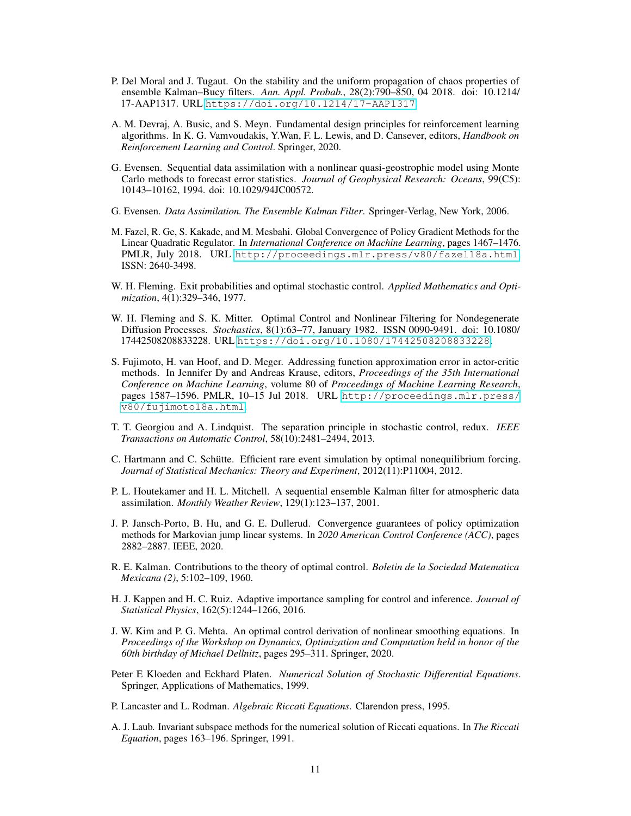- <span id="page-10-16"></span>P. Del Moral and J. Tugaut. On the stability and the uniform propagation of chaos properties of ensemble Kalman–Bucy filters. *Ann. Appl. Probab.*, 28(2):790–850, 04 2018. doi: 10.1214/ 17-AAP1317. URL <https://doi.org/10.1214/17-AAP1317>.
- <span id="page-10-9"></span>A. M. Devraj, A. Busic, and S. Meyn. Fundamental design principles for reinforcement learning algorithms. In K. G. Vamvoudakis, Y.Wan, F. L. Lewis, and D. Cansever, editors, *Handbook on Reinforcement Learning and Control*. Springer, 2020.
- <span id="page-10-5"></span>G. Evensen. Sequential data assimilation with a nonlinear quasi-geostrophic model using Monte Carlo methods to forecast error statistics. *Journal of Geophysical Research: Oceans*, 99(C5): 10143–10162, 1994. doi: 10.1029/94JC00572.
- <span id="page-10-6"></span>G. Evensen. *Data Assimilation. The Ensemble Kalman Filter*. Springer-Verlag, New York, 2006.
- <span id="page-10-3"></span>M. Fazel, R. Ge, S. Kakade, and M. Mesbahi. Global Convergence of Policy Gradient Methods for the Linear Quadratic Regulator. In *International Conference on Machine Learning*, pages 1467–1476. PMLR, July 2018. URL <http://proceedings.mlr.press/v80/fazel18a.html>. ISSN: 2640-3498.
- <span id="page-10-12"></span>W. H. Fleming. Exit probabilities and optimal stochastic control. *Applied Mathematics and Optimization*, 4(1):329–346, 1977.
- <span id="page-10-11"></span>W. H. Fleming and S. K. Mitter. Optimal Control and Nonlinear Filtering for Nondegenerate Diffusion Processes. *Stochastics*, 8(1):63–77, January 1982. ISSN 0090-9491. doi: 10.1080/ 17442508208833228. URL <https://doi.org/10.1080/17442508208833228>.
- <span id="page-10-10"></span>S. Fujimoto, H. van Hoof, and D. Meger. Addressing function approximation error in actor-critic methods. In Jennifer Dy and Andreas Krause, editors, *Proceedings of the 35th International Conference on Machine Learning*, volume 80 of *Proceedings of Machine Learning Research*, pages 1587–1596. PMLR, 10–15 Jul 2018. URL [http://proceedings.mlr.press/](http://proceedings.mlr.press/v80/fujimoto18a.html) [v80/fujimoto18a.html](http://proceedings.mlr.press/v80/fujimoto18a.html).
- <span id="page-10-8"></span>T. T. Georgiou and A. Lindquist. The separation principle in stochastic control, redux. *IEEE Transactions on Automatic Control*, 58(10):2481–2494, 2013.
- <span id="page-10-14"></span>C. Hartmann and C. Schütte. Efficient rare event simulation by optimal nonequilibrium forcing. *Journal of Statistical Mechanics: Theory and Experiment*, 2012(11):P11004, 2012.
- <span id="page-10-7"></span>P. L. Houtekamer and H. L. Mitchell. A sequential ensemble Kalman filter for atmospheric data assimilation. *Monthly Weather Review*, 129(1):123–137, 2001.
- <span id="page-10-4"></span>J. P. Jansch-Porto, B. Hu, and G. E. Dullerud. Convergence guarantees of policy optimization methods for Markovian jump linear systems. In *2020 American Control Conference (ACC)*, pages 2882–2887. IEEE, 2020.
- <span id="page-10-0"></span>R. E. Kalman. Contributions to the theory of optimal control. *Boletin de la Sociedad Matematica Mexicana (2)*, 5:102–109, 1960.
- <span id="page-10-13"></span>H. J. Kappen and H. C. Ruiz. Adaptive importance sampling for control and inference. *Journal of Statistical Physics*, 162(5):1244–1266, 2016.
- <span id="page-10-15"></span>J. W. Kim and P. G. Mehta. An optimal control derivation of nonlinear smoothing equations. In *Proceedings of the Workshop on Dynamics, Optimization and Computation held in honor of the 60th birthday of Michael Dellnitz*, pages 295–311. Springer, 2020.
- <span id="page-10-17"></span>Peter E Kloeden and Eckhard Platen. *Numerical Solution of Stochastic Differential Equations*. Springer, Applications of Mathematics, 1999.
- <span id="page-10-1"></span>P. Lancaster and L. Rodman. *Algebraic Riccati Equations*. Clarendon press, 1995.
- <span id="page-10-2"></span>A. J. Laub. Invariant subspace methods for the numerical solution of Riccati equations. In *The Riccati Equation*, pages 163–196. Springer, 1991.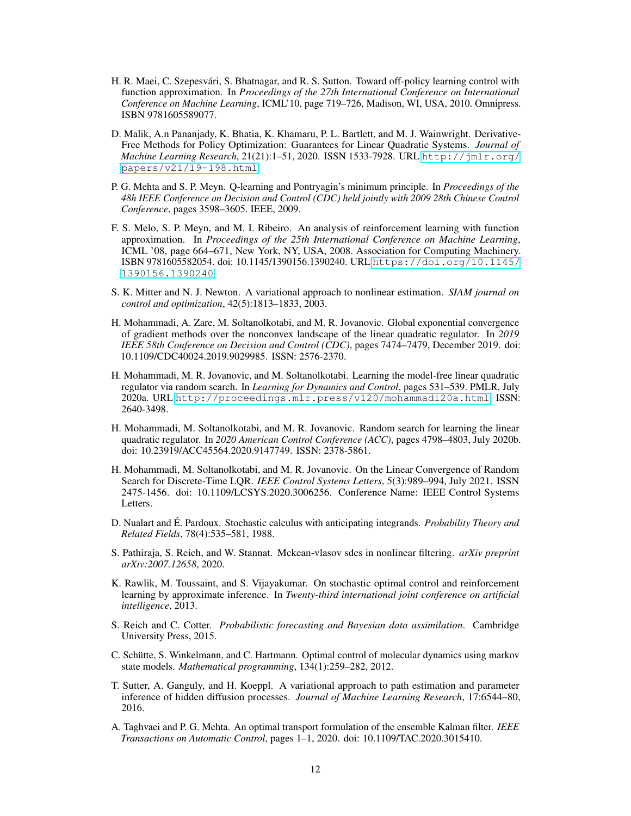- <span id="page-11-9"></span>H. R. Maei, C. Szepesvári, S. Bhatnagar, and R. S. Sutton. Toward off-policy learning control with function approximation. In *Proceedings of the 27th International Conference on International Conference on Machine Learning*, ICML'10, page 719–726, Madison, WI, USA, 2010. Omnipress. ISBN 9781605589077.
- <span id="page-11-0"></span>D. Malik, A.n Pananjady, K. Bhatia, K. Khamaru, P. L. Bartlett, and M. J. Wainwright. Derivative-Free Methods for Policy Optimization: Guarantees for Linear Quadratic Systems. *Journal of Machine Learning Research*, 21(21):1–51, 2020. ISSN 1533-7928. URL [http://jmlr.org/](http://jmlr.org/papers/v21/19-198.html) [papers/v21/19-198.html](http://jmlr.org/papers/v21/19-198.html).
- <span id="page-11-8"></span>P. G. Mehta and S. P. Meyn. Q-learning and Pontryagin's minimum principle. In *Proceedings of the 48h IEEE Conference on Decision and Control (CDC) held jointly with 2009 28th Chinese Control Conference*, pages 3598–3605. IEEE, 2009.
- <span id="page-11-10"></span>F. S. Melo, S. P. Meyn, and M. I. Ribeiro. An analysis of reinforcement learning with function approximation. In *Proceedings of the 25th International Conference on Machine Learning*, ICML '08, page 664–671, New York, NY, USA, 2008. Association for Computing Machinery. ISBN 9781605582054. doi: 10.1145/1390156.1390240. URL [https://doi.org/10.1145/](https://doi.org/10.1145/1390156.1390240) [1390156.1390240](https://doi.org/10.1145/1390156.1390240).
- <span id="page-11-12"></span>S. K. Mitter and N. J. Newton. A variational approach to nonlinear estimation. *SIAM journal on control and optimization*, 42(5):1813–1833, 2003.
- <span id="page-11-4"></span>H. Mohammadi, A. Zare, M. Soltanolkotabi, and M. R. Jovanovic. Global exponential convergence of gradient methods over the nonconvex landscape of the linear quadratic regulator. In *2019 IEEE 58th Conference on Decision and Control (CDC)*, pages 7474–7479, December 2019. doi: 10.1109/CDC40024.2019.9029985. ISSN: 2576-2370.
- <span id="page-11-2"></span>H. Mohammadi, M. R. Jovanovic, and M. Soltanolkotabi. Learning the model-free linear quadratic regulator via random search. In *Learning for Dynamics and Control*, pages 531–539. PMLR, July 2020a. URL <http://proceedings.mlr.press/v120/mohammadi20a.html>. ISSN: 2640-3498.
- <span id="page-11-3"></span>H. Mohammadi, M. Soltanolkotabi, and M. R. Jovanovic. Random search for learning the linear quadratic regulator. In *2020 American Control Conference (ACC)*, pages 4798–4803, July 2020b. doi: 10.23919/ACC45564.2020.9147749. ISSN: 2378-5861.
- <span id="page-11-1"></span>H. Mohammadi, M. Soltanolkotabi, and M. R. Jovanovic. On the Linear Convergence of Random Search for Discrete-Time LQR. *IEEE Control Systems Letters*, 5(3):989–994, July 2021. ISSN 2475-1456. doi: 10.1109/LCSYS.2020.3006256. Conference Name: IEEE Control Systems Letters.
- <span id="page-11-7"></span>D. Nualart and É. Pardoux. Stochastic calculus with anticipating integrands. *Probability Theory and Related Fields*, 78(4):535–581, 1988.
- <span id="page-11-11"></span>S. Pathiraja, S. Reich, and W. Stannat. Mckean-vlasov sdes in nonlinear filtering. *arXiv preprint arXiv:2007.12658*, 2020.
- <span id="page-11-13"></span>K. Rawlik, M. Toussaint, and S. Vijayakumar. On stochastic optimal control and reinforcement learning by approximate inference. In *Twenty-third international joint conference on artificial intelligence*, 2013.
- <span id="page-11-5"></span>S. Reich and C. Cotter. *Probabilistic forecasting and Bayesian data assimilation*. Cambridge University Press, 2015.
- <span id="page-11-14"></span>C. Schütte, S. Winkelmann, and C. Hartmann. Optimal control of molecular dynamics using markov state models. *Mathematical programming*, 134(1):259–282, 2012.
- <span id="page-11-15"></span>T. Sutter, A. Ganguly, and H. Koeppl. A variational approach to path estimation and parameter inference of hidden diffusion processes. *Journal of Machine Learning Research*, 17:6544–80, 2016.
- <span id="page-11-6"></span>A. Taghvaei and P. G. Mehta. An optimal transport formulation of the ensemble Kalman filter. *IEEE Transactions on Automatic Control*, pages 1–1, 2020. doi: 10.1109/TAC.2020.3015410.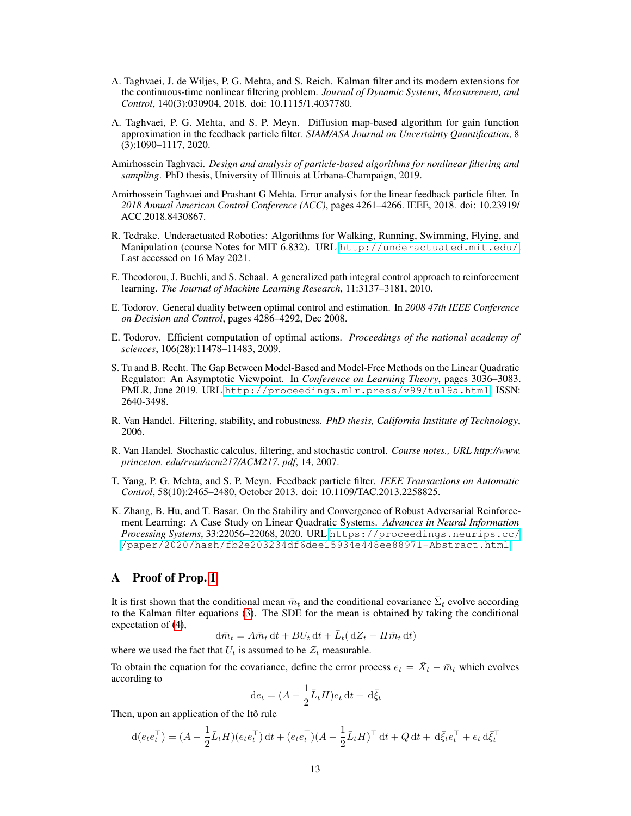- <span id="page-12-3"></span>A. Taghvaei, J. de Wiljes, P. G. Mehta, and S. Reich. Kalman filter and its modern extensions for the continuous-time nonlinear filtering problem. *Journal of Dynamic Systems, Measurement, and Control*, 140(3):030904, 2018. doi: 10.1115/1.4037780.
- <span id="page-12-6"></span>A. Taghvaei, P. G. Mehta, and S. P. Meyn. Diffusion map-based algorithm for gain function approximation in the feedback particle filter. *SIAM/ASA Journal on Uncertainty Quantification*, 8 (3):1090–1117, 2020.
- <span id="page-12-13"></span>Amirhossein Taghvaei. *Design and analysis of particle-based algorithms for nonlinear filtering and sampling*. PhD thesis, University of Illinois at Urbana-Champaign, 2019.
- <span id="page-12-12"></span>Amirhossein Taghvaei and Prashant G Mehta. Error analysis for the linear feedback particle filter. In *2018 Annual American Control Conference (ACC)*, pages 4261–4266. IEEE, 2018. doi: 10.23919/ ACC.2018.8430867.
- <span id="page-12-11"></span>R. Tedrake. Underactuated Robotics: Algorithms for Walking, Running, Swimming, Flying, and Manipulation (course Notes for MIT 6.832). URL <http://underactuated.mit.edu/>. Last accessed on 16 May 2021.
- <span id="page-12-8"></span>E. Theodorou, J. Buchli, and S. Schaal. A generalized path integral control approach to reinforcement learning. *The Journal of Machine Learning Research*, 11:3137–3181, 2010.
- <span id="page-12-7"></span>E. Todorov. General duality between optimal control and estimation. In *2008 47th IEEE Conference on Decision and Control*, pages 4286–4292, Dec 2008.
- <span id="page-12-9"></span>E. Todorov. Efficient computation of optimal actions. *Proceedings of the national academy of sciences*, 106(28):11478–11483, 2009.
- <span id="page-12-0"></span>S. Tu and B. Recht. The Gap Between Model-Based and Model-Free Methods on the Linear Quadratic Regulator: An Asymptotic Viewpoint. In *Conference on Learning Theory*, pages 3036–3083. PMLR, June 2019. URL <http://proceedings.mlr.press/v99/tu19a.html>. ISSN: 2640-3498.
- <span id="page-12-10"></span>R. Van Handel. Filtering, stability, and robustness. *PhD thesis, California Institute of Technology*, 2006.
- <span id="page-12-4"></span>R. Van Handel. Stochastic calculus, filtering, and stochastic control. *Course notes., URL http://www. princeton. edu/rvan/acm217/ACM217. pdf*, 14, 2007.
- <span id="page-12-2"></span>T. Yang, P. G. Mehta, and S. P. Meyn. Feedback particle filter. *IEEE Transactions on Automatic Control*, 58(10):2465–2480, October 2013. doi: 10.1109/TAC.2013.2258825.
- <span id="page-12-1"></span>K. Zhang, B. Hu, and T. Basar. On the Stability and Convergence of Robust Adversarial Reinforcement Learning: A Case Study on Linear Quadratic Systems. *Advances in Neural Information Processing Systems*, 33:22056–22068, 2020. URL [https://proceedings.neurips.cc/](https://proceedings.neurips.cc//paper/2020/hash/fb2e203234df6dee15934e448ee88971-Abstract.html) [/paper/2020/hash/fb2e203234df6dee15934e448ee88971-Abstract.html](https://proceedings.neurips.cc//paper/2020/hash/fb2e203234df6dee15934e448ee88971-Abstract.html).

# <span id="page-12-5"></span>A Proof of Prop. [1](#page-3-3)

It is first shown that the conditional mean  $\bar{m}_t$  and the conditional covariance  $\bar{\Sigma}_t$  evolve according to the Kalman filter equations [\(3\)](#page-2-4). The SDE for the mean is obtained by taking the conditional expectation of [\(4\)](#page-3-0),

$$
\mathrm{d}\bar{m}_t = A\bar{m}_t \,\mathrm{d}t + BU_t \,\mathrm{d}t + \bar{L}_t (\,\mathrm{d}Z_t - H\bar{m}_t \,\mathrm{d}t)
$$

where we used the fact that  $U_t$  is assumed to be  $\mathcal{Z}_t$  measurable.

To obtain the equation for the covariance, define the error process  $e_t = \overline{X}_t - \overline{m}_t$  which evolves according to

$$
\mathrm{d}e_t = (A - \frac{1}{2}\bar{L}_t H)e_t \,\mathrm{d}t + \,\mathrm{d}\bar{\xi}_t
$$

Then, upon an application of the Itô rule

$$
d(e_t e_t^{\top}) = (A - \frac{1}{2} \bar{L}_t H)(e_t e_t^{\top}) dt + (e_t e_t^{\top})(A - \frac{1}{2} \bar{L}_t H)^{\top} dt + Q dt + d \bar{\xi}_t e_t^{\top} + e_t d \bar{\xi}_t^{\top}
$$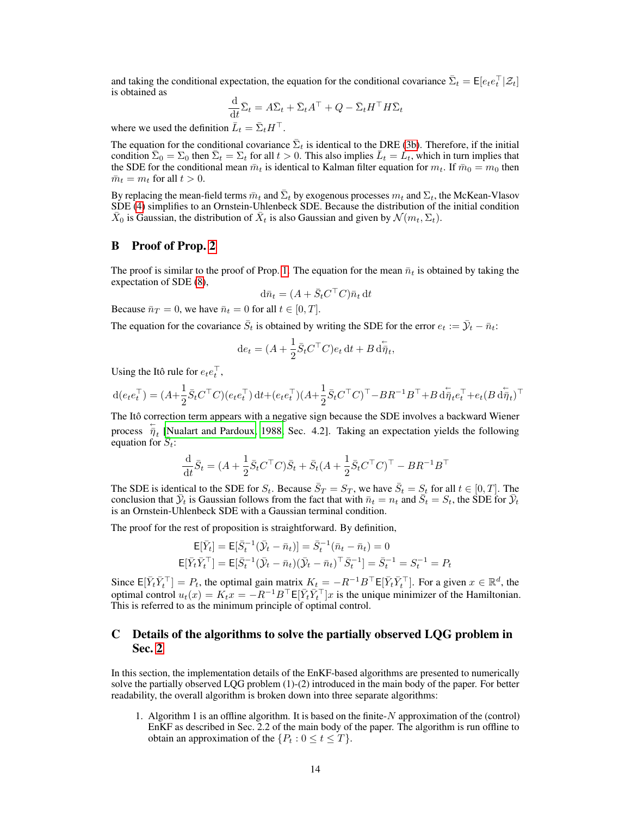and taking the conditional expectation, the equation for the conditional covariance  $\bar{\Sigma}_t = \mathsf{E}[e_t e_t^{\top} | \mathcal{Z}_t]$ is obtained as

$$
\frac{\mathrm{d}}{\mathrm{d}t}\bar{\Sigma}_t = A\bar{\Sigma}_t + \bar{\Sigma}_t A^\top + Q - \bar{\Sigma}_t H^\top H \bar{\Sigma}_t
$$

where we used the definition  $\bar{L}_t = \bar{\Sigma}_t H^{\top}$ .

The equation for the conditional covariance  $\bar{\Sigma}_t$  is identical to the DRE [\(3b\)](#page-2-3). Therefore, if the initial condition  $\bar{\Sigma}_0 = \Sigma_0$  then  $\bar{\Sigma}_t = \Sigma_t$  for all  $t > 0$ . This also implies  $\bar{L}_t = L_t$ , which in turn implies that the SDE for the conditional mean  $\bar{m}_t$  is identical to Kalman filter equation for  $m_t$ . If  $\bar{m}_0 = m_0$  then  $\bar{m}_t = m_t$  for all  $t > 0$ .

By replacing the mean-field terms  $\bar{m}_t$  and  $\bar{\Sigma}_t$  by exogenous processes  $m_t$  and  $\Sigma_t$ , the McKean-Vlasov SDE [\(4\)](#page-3-0) simplifies to an Ornstein-Uhlenbeck SDE. Because the distribution of the initial condition  $\bar{X}_0$  is Gaussian, the distribution of  $\bar{X}_t$  is also Gaussian and given by  $\mathcal{N}(m_t, \Sigma_t)$ .

### <span id="page-13-1"></span>B Proof of Prop. [2](#page-4-3)

The proof is similar to the proof of Prop. [1.](#page-3-3) The equation for the mean  $\bar{n}_t$  is obtained by taking the expectation of SDE [\(8\)](#page-4-1),

$$
\mathrm{d}\bar{n}_t = (A + \bar{S}_t C^\top C) \bar{n}_t \,\mathrm{d} t
$$

Because  $\bar{n}_T = 0$ , we have  $\bar{n}_t = 0$  for all  $t \in [0, T]$ .

The equation for the covariance  $\bar{S}_t$  is obtained by writing the SDE for the error  $e_t := \bar{\mathcal{Y}}_t - \bar{n}_t$ :

$$
\mathrm{d}e_t = (A + \frac{1}{2}\bar{S}_t C^\top C)e_t \,\mathrm{d}t + B\,\mathrm{d}\overleftarrow{\eta}_t,
$$

Using the Itô rule for  $e_t e_t^{\top}$ ,

$$
\mathbf{d}(e_t e_t^\top) = (A + \frac{1}{2}\bar{S}_t C^\top C)(e_t e_t^\top)\,\mathbf{d}t + (e_t e_t^\top)(A + \frac{1}{2}\bar{S}_t C^\top C)^\top - B R^{-1} B^\top + B \,\mathbf{d}\dot{\bar{\eta}}_t e_t^\top + e_t (B \,\mathbf{d}\dot{\bar{\eta}}_t)^\top
$$

The Itô correction term appears with a negative sign because the SDE involves a backward Wiener process  $\bar{\eta}_t$  [\[Nualart and Pardoux, 1988,](#page-11-7) Sec. 4.2]. Taking an expectation yields the following equation for  $\overline{S}_t$ :

$$
\frac{\mathrm{d}}{\mathrm{d}t}\bar{S}_t = (A + \frac{1}{2}\bar{S}_t C^\top C)\bar{S}_t + \bar{S}_t (A + \frac{1}{2}\bar{S}_t C^\top C)^\top - BR^{-1}B^\top
$$

The SDE is identical to the SDE for  $S_t$ . Because  $\bar{S}_T = S_T$ , we have  $\bar{S}_t = S_t$  for all  $t \in [0, T]$ . The conclusion that  $\bar{y}_t$  is Gaussian follows from the fact that with  $\bar{n}_t = n_t$  and  $\bar{S}_t = S_t$ , the SDE for  $\bar{y}_t$ is an Ornstein-Uhlenbeck SDE with a Gaussian terminal condition.

The proof for the rest of proposition is straightforward. By definition,

$$
\begin{aligned} \mathsf{E}[\bar{Y}_t] &= \mathsf{E}[\bar{S}_t^{-1}(\bar{\mathcal{Y}}_t - \bar{n}_t)] = \bar{S}_t^{-1}(\bar{n}_t - \bar{n}_t) = 0 \\ \mathsf{E}[\bar{Y}_t \bar{Y}_t^\top] &= \mathsf{E}[\bar{S}_t^{-1}(\bar{\mathcal{Y}}_t - \bar{n}_t)(\bar{\mathcal{Y}}_t - \bar{n}_t)^\top \bar{S}_t^{-1}] = \bar{S}_t^{-1} = S_t^{-1} = P_t \end{aligned}
$$

Since  $E[\bar{Y}_t \bar{Y}_t^\top] = P_t$ , the optimal gain matrix  $K_t = -R^{-1}B^\top E[\bar{Y}_t \bar{Y}_t^\top]$ . For a given  $x \in \mathbb{R}^d$ , the optimal control  $u_t(x) = K_t x = -R^{-1}B^\top \mathsf{E}[\overline{Y}_t \overline{Y}_t^\top]x$  is the unique minimizer of the Hamiltonian. This is referred to as the minimum principle of optimal control.

# <span id="page-13-0"></span>C Details of the algorithms to solve the partially observed LQG problem in Sec. [2](#page-2-0)

In this section, the implementation details of the EnKF-based algorithms are presented to numerically solve the partially observed LQG problem (1)-(2) introduced in the main body of the paper. For better readability, the overall algorithm is broken down into three separate algorithms:

1. Algorithm 1 is an offline algorithm. It is based on the finite- $N$  approximation of the (control) EnKF as described in Sec. 2.2 of the main body of the paper. The algorithm is run offline to obtain an approximation of the  $\{P_t: 0 \le t \le T\}$ .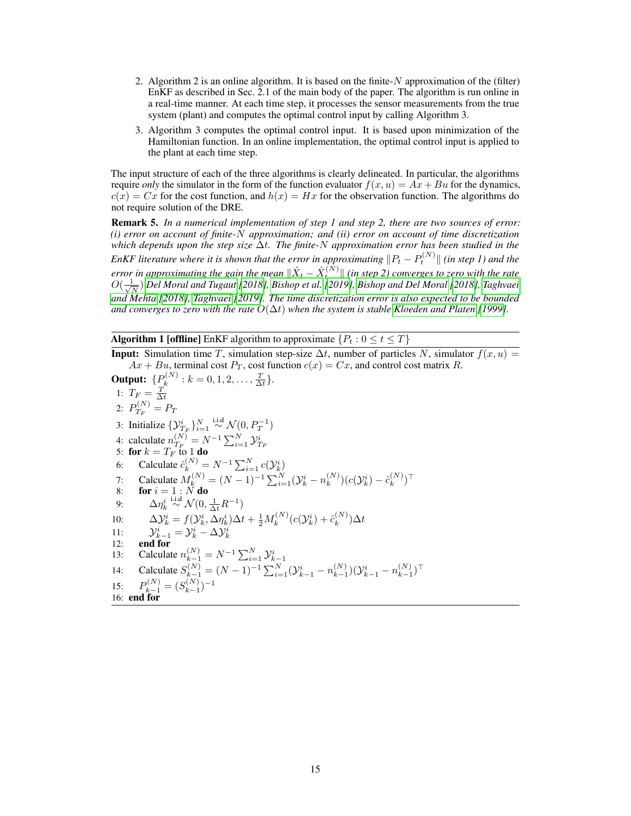- 2. Algorithm 2 is an online algorithm. It is based on the finite- $N$  approximation of the (filter) EnKF as described in Sec. 2.1 of the main body of the paper. The algorithm is run online in a real-time manner. At each time step, it processes the sensor measurements from the true system (plant) and computes the optimal control input by calling Algorithm 3.
- 3. Algorithm 3 computes the optimal control input. It is based upon minimization of the Hamiltonian function. In an online implementation, the optimal control input is applied to the plant at each time step.

The input structure of each of the three algorithms is clearly delineated. In particular, the algorithms require *only* the simulator in the form of the function evaluator  $f(x, u) = Ax + Bu$  for the dynamics,  $c(x) = Cx$  for the cost function, and  $h(x) = Hx$  for the observation function. The algorithms do not require solution of the DRE.

Remark 5. *In a numerical implementation of step 1 and step 2, there are two sources of error: (i) error on account of finite-*N *approximation; and (ii) error on account of time discretization which depends upon the step size* ∆t*. The finite-*N *approximation error has been studied in the* EnKF literature where it is shown that the error in approximating  $\|P_t - P_t^{(N)}\|$  (in step 1) and the error in approximating the gain the mean  $\|\hat{X}_t - \hat{X}_t^{(N)}\|$  (in step 2) converges to zero with the rate  $O(\frac{1}{\sqrt{2}})$  $\frac{1}{N}$ ) [Del Moral and Tugaut](#page-10-16) [\[2018\]](#page-9-5), [Bishop et al.](#page-9-10) [\[2019\]](#page-9-10), [Bishop and Del Moral](#page-9-5) [2018], [Taghvaei](#page-12-12) *[and Mehta](#page-12-12) [\[2018\]](#page-12-12), [Taghvaei](#page-12-13) [\[2019\]](#page-12-13). The time discretization error is also expected to be bounded and converges to zero with the rate*  $O(\Delta t)$  *when the system is stable Kloeden and Platen* [\[1999\]](#page-10-17).

<span id="page-14-0"></span>**Algorithm 1 [offline]** EnKF algorithm to approximate  $\{P_t : 0 \le t \le T\}$ 

**Input:** Simulation time T, simulation step-size  $\Delta t$ , number of particles N, simulator  $f(x, u) =$  $Ax + Bu$ , terminal cost  $P_T$ , cost function  $c(x) = Cx$ , and control cost matrix R.

**Output:** 
$$
{P_k}^{(N)} : k = 0, 1, 2, ..., \frac{T}{\Delta t}
$$
.  
\n1:  $T_F = \frac{T}{\Delta t}$   
\n2:  $P_{T_F}^{(N)} = P_T$   
\n3: Initialize  ${Y_{T_F}^{i}}_{i=1}^{N} \sim \mathcal{N}(0, P_T^{-1})$   
\n4: calculate  $n_{T_F}^{(N)} = N^{-1} \sum_{i=1}^{N} Y_{T_F}^{i}$   
\n5: **for**  $k = T_F$  to **1 do**  
\n6: Calculate  $\hat{c}_k^{(N)} = N^{-1} \sum_{i=1}^{N} c(Y_k^i)$   
\n7: Calculate  $M_k^{(N)} = (N - 1)^{-1} \sum_{i=1}^{N} (Y_k^i - n_k^{(N)}) (c(Y_k^i) - \hat{c}_k^{(N)})^T$   
\n8: **for**  $i = 1 : N$  **do**  
\n9:  $\Delta \eta_k^{i}$   $\sim \mathcal{N}(0, \frac{1}{\Delta t} R^{-1})$   
\n10:  $\Delta Y_k^i = f(Y_k^i, \Delta \eta_k^i) \Delta t + \frac{1}{2} M_k^{(N)} (c(Y_k^i) + \hat{c}_k^{(N)}) \Delta t$   
\n11:  $Y_{k-1}^i = Y_k^i - \Delta Y_k^i$   
\n12: **end for**  
\n13: Calculate  $n_{k-1}^{(N)} = N^{-1} \sum_{i=1}^{N} Y_{k-1}^{i}$   
\n14: Calculate  $S_{k-1}^{(N)} = (N - 1)^{-1} \sum_{i=1}^{N} (Y_{k-1}^i - n_{k-1}^{(N)}) (Y_{k-1}^i - n_{k-1}^{(N)})^T$   
\n15:  $P_{k-1}^{(N)} = (S_{k-1}^{(N)})^{-1}$   
\n16: **end for**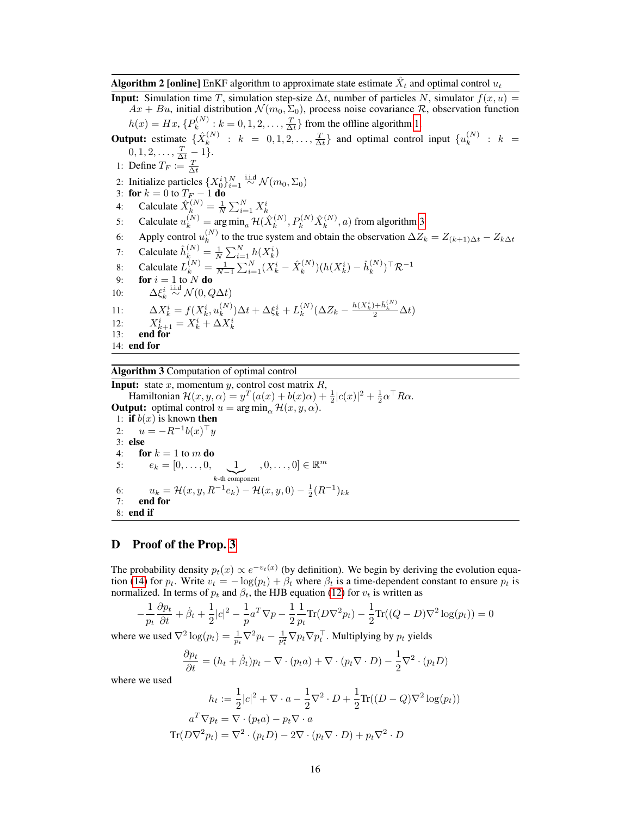Algorithm 2 [online] EnKF algorithm to approximate state estimate  $\hat{X}_t$  and optimal control  $u_t$ 

**Input:** Simulation time T, simulation step-size  $\Delta t$ , number of particles N, simulator  $f(x, u)$  $Ax + Bu$ , initial distribution  $\mathcal{N}(m_0, \Sigma_0)$ , process noise covariance  $\mathcal{R}$ , observation function  $h(x) = Hx, \{P_k^{(N)}\}$  $k_k^{(N)}$ :  $k = 0, 1, 2, \ldots, \frac{T}{\Delta t}$  from the offline algorithm [1.](#page-14-0) **Output:** estimate  $\{\hat{X}_k^{(N)}\}$  $k_{k}^{(N)}$  :  $k = 0, 1, 2, ..., \frac{T}{\Delta t}$  and optimal control input  $\{u_k^{(N)}\}$  $k^{(N)}$  :  $k =$  $0, 1, 2, \ldots, \frac{T}{\Delta t} - 1$ . 1: Define  $T_F \coloneqq \frac{T}{\Delta t}$ 2: Initialize particles  $\{X_0^i\}_{i=1}^N \stackrel{\text{i.i.d}}{\sim} \mathcal{N}(m_0, \Sigma_0)$ 3: for  $k = 0$  to  $T_F - 1$  do 4: Calculate  $\hat{X}_k^{(N)} = \frac{1}{N} \sum_{i=1}^N X_k^i$ 5: Calculate  $u_k^{(N)} = \arg \min_a \mathcal{H}(\hat{X}_k^{(N)})$  $P_{k}^{(N)},P_{k}^{(N)}\hat{X}_{k}^{(N)}$  $k^{(IV)}$ , a) from algorithm [3](#page-15-1) 6: Apply control  $u_k^{(N)}$  $\lambda_k^{(N)}$  to the true system and obtain the observation  $\Delta Z_k = Z_{(k+1)\Delta t} - Z_{k\Delta t}$ 7: Calculate  $\hat{h}_k^{(N)} = \frac{1}{N} \sum_{i=1}^N h(X_k^i)$ 8: Calculate  $L_k^{(N)} = \frac{1}{N-1} \sum_{i=1}^{N} (X_k^i - \hat{X}_k^{(N)})$  $\hat{h}_k^{(N)}) (h(X_k^i) - \hat{h}_k^{(N)})$  $\binom{N}{k}$ <sup>T</sup> $\mathcal{R}^{-1}$ 9: **for**  $i = 1$  to N **do** 10:  $\Delta \xi_k^i \stackrel{\text{i.i.d}}{\sim} \mathcal{N}(0, Q\Delta t)$ k 11:  $\Delta X_k^i = f(X_k^i, u_k^{(N)})$  $\lambda_k^{(N)})\Delta t+\Delta \xi_k^i+L_k^{(N)}$  $k^{(N)}(\Delta Z_k - \frac{h(X_k^i) + \hat{h}_k^{(N)}}{2} \Delta t)$ 12:  $X_{k+1}^i = X_k^i + \Delta X_k^i$ 13: end for 14: end for

## <span id="page-15-1"></span>Algorithm 3 Computation of optimal control

**Input:** state x, momentum y, control cost matrix  $R$ , Hamiltonian  $\mathcal{H}(x, y, \alpha) = y^T(a(x) + b(x)\alpha) + \frac{1}{2}|c(x)|^2 + \frac{1}{2}\alpha^{\top} R\alpha$ . **Output:** optimal control  $u = \arg \min_{\alpha} \mathcal{H}(x, y, \alpha)$ . 1: if  $b(x)$  is known then 2:  $u = -R^{-1}b(x)^\top y$ 3: else 4: **for**  $k = 1$  to m **do** 5:  $e_k = [0, \ldots, 0, 1]$  $k$ -th component  $,0,\ldots,0] \in \mathbb{R}^m$ 6:  $u_k = \mathcal{H}(x, y, R^{-1}e_k) - \mathcal{H}(x, y, 0) - \frac{1}{2}$  $(R^{-1})_{kk}$ 7: end for 8: end if

## <span id="page-15-0"></span>D Proof of the Prop. [3](#page-7-3)

The probability density  $p_t(x) \propto e^{-v_t(x)}$  (by definition). We begin by deriving the evolution equa-tion [\(14\)](#page-6-1) for  $p_t$ . Write  $v_t = -\log(p_t) + \beta_t$  where  $\beta_t$  is a time-dependent constant to ensure  $p_t$  is normalized. In terms of  $p_t$  and  $\beta_t$ , the HJB equation [\(12\)](#page-6-2) for  $v_t$  is written as

$$
-\frac{1}{p_t}\frac{\partial p_t}{\partial t} + \dot{\beta}_t + \frac{1}{2}|c|^2 - \frac{1}{p}a^T\nabla p - \frac{1}{2}\frac{1}{p_t}\text{Tr}(D\nabla^2 p_t) - \frac{1}{2}\text{Tr}((Q - D)\nabla^2 \log(p_t)) = 0
$$

where we used  $\nabla^2 \log(p_t) = \frac{1}{p_t} \nabla^2 p_t - \frac{1}{p_t^2} \nabla p_t \nabla p_t^\top$ . Multiplying by  $p_t$  yields

$$
\frac{\partial p_t}{\partial t} = (h_t + \dot{\beta}_t)p_t - \nabla \cdot (p_t a) + \nabla \cdot (p_t \nabla \cdot D) - \frac{1}{2} \nabla^2 \cdot (p_t D)
$$

where we used

$$
h_t := \frac{1}{2}|c|^2 + \nabla \cdot a - \frac{1}{2}\nabla^2 \cdot D + \frac{1}{2}\text{Tr}((D-Q)\nabla^2 \log(p_t))
$$

$$
a^T \nabla p_t = \nabla \cdot (p_t a) - p_t \nabla \cdot a
$$

$$
\text{Tr}(D\nabla^2 p_t) = \nabla^2 \cdot (p_t D) - 2\nabla \cdot (p_t \nabla \cdot D) + p_t \nabla^2 \cdot D
$$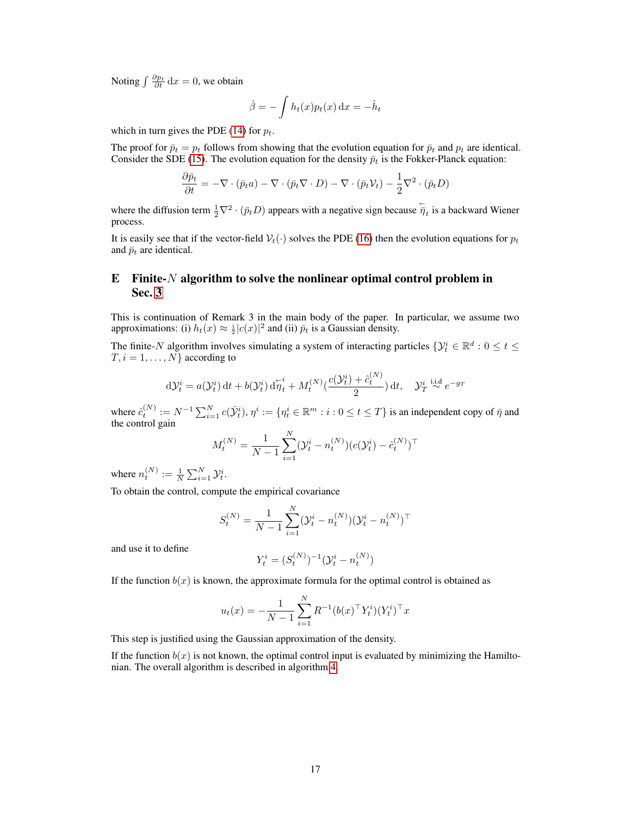Noting  $\int \frac{\partial p_t}{\partial t} \, \mathrm{d}x = 0$ , we obtain

$$
\dot{\beta} = -\int h_t(x)p_t(x) dx = -\hat{h}_t
$$

which in turn gives the PDE [\(14\)](#page-6-1) for  $p_t$ .

The proof for  $\bar{p}_t = p_t$  follows from showing that the evolution equation for  $\bar{p}_t$  and  $p_t$  are identical. Consider the SDE [\(15\)](#page-7-2). The evolution equation for the density  $\bar{p}_t$  is the Fokker-Planck equation:

$$
\frac{\partial \bar{p}_t}{\partial t} = -\nabla \cdot (\bar{p}_t a) - \nabla \cdot (\bar{p}_t \nabla \cdot D) - \nabla \cdot (\bar{p}_t \mathcal{V}_t) - \frac{1}{2} \nabla^2 \cdot (\bar{p}_t D)
$$

where the diffusion term  $\frac{1}{2}\nabla^2 \cdot (\bar{p}_t D)$  appears with a negative sign because  $\overline{\overline{\eta}}_t$  is a backward Wiener process.

It is easily see that if the vector-field  $V_t(\cdot)$  solves the PDE [\(16\)](#page-7-0) then the evolution equations for  $p_t$ and  $\bar{p}_t$  are identical.

# <span id="page-16-0"></span>E Finite- $N$  algorithm to solve the nonlinear optimal control problem in Sec. [3](#page-6-0)

This is continuation of Remark 3 in the main body of the paper. In particular, we assume two approximations: (i)  $h_t(x) \approx \frac{1}{2} |c(x)|^2$  and (ii)  $\bar{p}_t$  is a Gaussian density.

The finite-N algorithm involves simulating a system of interacting particles  $\{\mathcal{Y}_t^i \in \mathbb{R}^d : 0 \leq t \leq t\}$  $T, i = 1, \ldots, N$  according to

$$
d\mathcal{Y}_t^i = a(\mathcal{Y}_t^i) dt + b(\mathcal{Y}_t^i) d\overleftarrow{\eta}_t^i + M_t^{(N)} \left( \frac{c(\mathcal{Y}_t^i) + \hat{c}_t^{(N)}}{2} \right) dt, \quad \mathcal{Y}_T^i \stackrel{\text{i.i.d}}{\sim} e^{-g_T}
$$

where  $\hat{c}_t^{(N)} := N^{-1} \sum_{i=1}^N c(\bar{\mathcal{Y}}_t^i), \eta^i := \{\eta_t^i \in \mathbb{R}^m : i : 0 \le t \le T\}$  is an independent copy of  $\bar{\eta}$  and the control gain

$$
M_t^{(N)} = \frac{1}{N-1} \sum_{i=1}^{N} (\mathcal{Y}_t^i - n_t^{(N)}) (c(\mathcal{Y}_t^i) - \hat{c}_t^{(N)})^\top
$$

where  $n_t^{(N)} := \frac{1}{N} \sum_{i=1}^{N} \mathcal{Y}_t^i$ .

To obtain the control, compute the empirical covariance

$$
S_t^{(N)} = \frac{1}{N-1}\sum_{i=1}^N (\mathcal{Y}_t^i - n_t^{(N)})(\mathcal{Y}_t^i - n_t^{(N)})^\top
$$

and use it to define

$$
Y_t^i = (S_t^{(N)})^{-1}(\mathcal{Y}_t^i - n_t^{(N)})
$$

If the function  $b(x)$  is known, the approximate formula for the optimal control is obtained as

$$
u_t(x) = -\frac{1}{N-1}\sum_{i=1}^N R^{-1}(b(x)^\top Y^i_t)(Y^i_t)^\top x
$$

This step is justified using the Gaussian approximation of the density.

If the function  $b(x)$  is not known, the optimal control input is evaluated by minimizing the Hamiltonian. The overall algorithm is described in algorithm [4.](#page-17-1)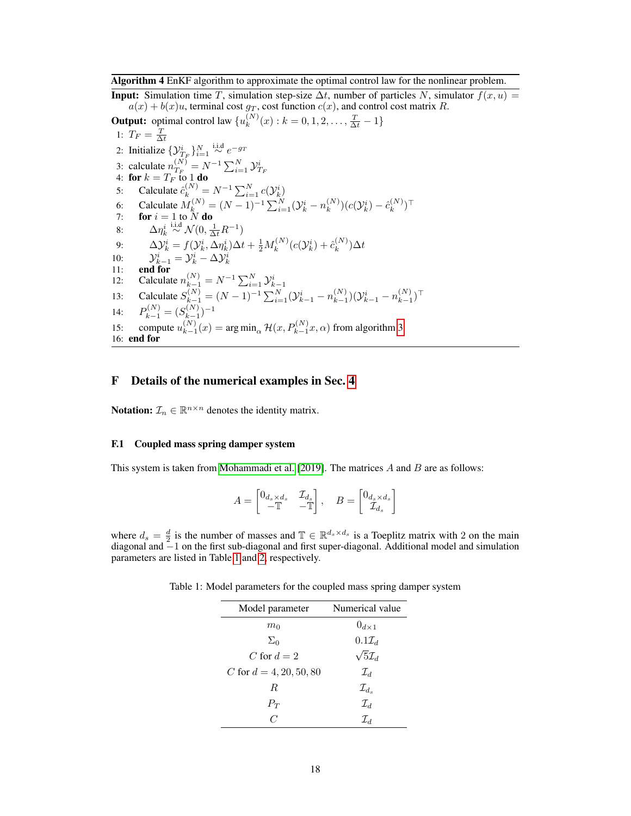#### <span id="page-17-1"></span>Algorithm 4 EnKF algorithm to approximate the optimal control law for the nonlinear problem.

**Input:** Simulation time T, simulation step-size  $\Delta t$ , number of particles N, simulator  $f(x, u) =$  $a(x) + b(x)u$ , terminal cost  $g_T$ , cost function  $c(x)$ , and control cost matrix R.

**Output:** optimal control law  $\{u_k^{(N)}\}$  $k^{(N)}(x): k = 0, 1, 2, \ldots, \frac{T}{\Delta t} - 1\}$ 1:  $T_F = \frac{T}{\Delta t}$ 2: Initialize  $\{y_{T_F}^i\}_{i=1}^N \stackrel{\text{i.i.d}}{\sim} e^{-g_T}$ 3: calculate  $n_{T_F}^{(N)}$ 3: calculate  $n_{T_F}^{(N)} = N^{-1} \sum_{i=1}^{N} \mathcal{Y}_{T_F}^i$ <br>4: **for**  $k = T_F$  to 1 **do** 5: Calculate  $\hat{c}_k^{(N)} = N^{-1} \sum_{i=1}^N c(\mathcal{Y}_k^i)$ 6: Calculate  $M_k^{(N)} = (N-1)^{-1} \sum_{i=1}^{N} (\mathcal{Y}_k^i - n_k^{(N)})$  $\binom{N}{k}(c(\mathcal{Y}_k^i)-\hat{c}_k^{(N)})$  $\binom{(N)}{k}$ T 7: for  $i = 1$  to N do 8:  $\Delta \eta_k^i \stackrel{\text{i.i.d}}{\sim} \mathcal{N}(0, \frac{1}{\Delta t} R^{-1})$ 9:  $\Delta \mathcal{Y}_k^i = f(\mathcal{Y}_k^i, \Delta \eta_k^i) \Delta t + \frac{1}{2} M_k^{(N)}$  $\hat{c}^{(N)}_k (c(\mathcal{Y}^i_k) + \hat{c}^{(N)}_k$  $_{k}^{\left( N\right) })\Delta t$ 10:  $\mathcal{Y}_{k-1}^i = \mathcal{Y}_k^i - \Delta \mathcal{Y}_k^i$ <br>11: **end for** 12: Calculate  $n_{k-1}^{(N)} = N^{-1} \sum_{i=1}^{N} \mathcal{Y}_{k-1}^{i}$ 13: Calculate  $S_{k-1}^{(N)} = (N-1)^{-1} \sum_{i=1}^{N} (\mathcal{Y}_{k-1}^{i} - n_{k-1}^{(N)})$  $\binom{(N)}{k-1}$  $(\mathcal{Y}_{k-1}^{i} - n_{k-1}^{(N)})$  $\binom{N}{k-1}$ <sup>T</sup> 14:  $P_{k-1}^{(N)} = (S_{k-1}^{(N)})$  ${k-1 \choose k-1} - 1$ 15: compute  $u_{k-1}^{(N)}$  $\binom{N}{k-1}(x) = \arg\min_{\alpha} \mathcal{H}(x, P_{k-1}^{(N)}x, \alpha)$  from algorithm [3](#page-15-1) 16: end for

# F Details of the numerical examples in Sec. [4](#page-8-0)

**Notation:**  $\mathcal{I}_n \in \mathbb{R}^{n \times n}$  denotes the identity matrix.

#### <span id="page-17-0"></span>F.1 Coupled mass spring damper system

This system is taken from [Mohammadi et al.](#page-11-4) [\[2019\]](#page-11-4). The matrices  $A$  and  $B$  are as follows:

$$
A = \begin{bmatrix} 0_{d_s \times d_s} & \mathcal{I}_{d_s} \\ -\mathbb{T} & -\mathbb{T} \end{bmatrix}, \quad B = \begin{bmatrix} 0_{d_s \times d_s} \\ \mathcal{I}_{d_s} \end{bmatrix}
$$

where  $d_s = \frac{d}{2}$  is the number of masses and  $\mathbb{T} \in \mathbb{R}^{d_s \times d_s}$  is a Toeplitz matrix with 2 on the main diagonal and −1 on the first sub-diagonal and first super-diagonal. Additional model and simulation parameters are listed in Table [1](#page-17-2) and [2,](#page-18-1) respectively.

Table 1: Model parameters for the coupled mass spring damper system

<span id="page-17-2"></span>

| Model parameter           | Numerical value         |
|---------------------------|-------------------------|
| $m_0$                     | $0_{d\times 1}$         |
| $\Sigma_0$                | $0.1\mathcal{I}_d$      |
| C for $d=2$               | $\sqrt{5}\mathcal{I}_d$ |
| C for $d = 4, 20, 50, 80$ | $\mathcal{I}_d$         |
| R.                        | $\mathcal{I}_{d_s}$     |
| $P_T$                     | $\mathcal{I}_d$         |
| $\overline{C}$            | $\mathcal{I}_d$         |
|                           |                         |